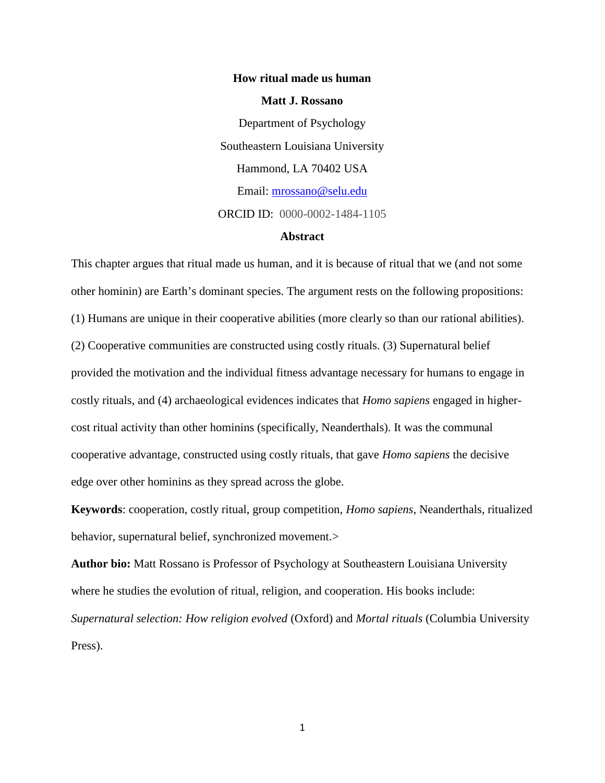# **How ritual made us human Matt J. Rossano** Department of Psychology Southeastern Louisiana University Hammond, LA 70402 USA Email: mrossano@selu.edu ORCID ID: 0000-0002-1484-1105

# **Abstract**

This chapter argues that ritual made us human, and it is because of ritual that we (and not some other hominin) are Earth's dominant species. The argument rests on the following propositions: (1) Humans are unique in their cooperative abilities (more clearly so than our rational abilities). (2) Cooperative communities are constructed using costly rituals. (3) Supernatural belief provided the motivation and the individual fitness advantage necessary for humans to engage in costly rituals, and (4) archaeological evidences indicates that *Homo sapiens* engaged in higher cost ritual activity than other hominins (specifically, Neanderthals). It was the communal cooperative advantage, constructed using costly rituals, that gave *Homo sapiens* the decisive edge over other hominins as they spread across the globe.

**Keywords**: cooperation, costly ritual, group competition, *Homo sapiens*, Neanderthals, ritualized behavior, supernatural belief, synchronized movement.>

**Author bio:** Matt Rossano is Professor of Psychology at Southeastern Louisiana University where he studies the evolution of ritual, religion, and cooperation. His books include: *Supernatural selection: How religion evolved* (Oxford) and *Mortal rituals* (Columbia University Press).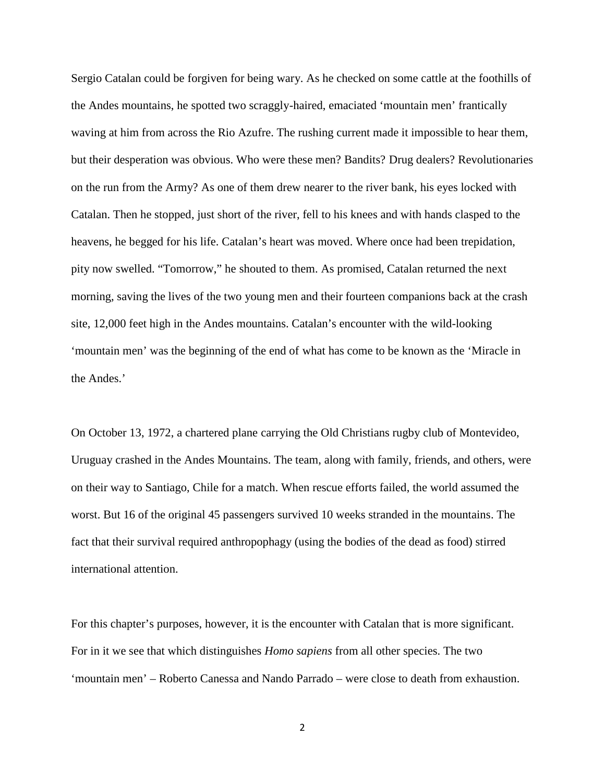Sergio Catalan could be forgiven for being wary. As he checked on some cattle at the foothills of the Andes mountains, he spotted two scraggly-haired, emaciated 'mountain men' frantically waving at him from across the Rio Azufre. The rushing current made it impossible to hear them, but their desperation was obvious. Who were these men? Bandits? Drug dealers? Revolutionaries on the run from the Army? As one of them drew nearer to the river bank, his eyes locked with Catalan. Then he stopped, just short of the river, fell to his knees and with hands clasped to the heavens, he begged for his life. Catalan's heart was moved. Where once had been trepidation, pity now swelled. "Tomorrow," he shouted to them. As promised, Catalan returned the next morning, saving the lives of the two young men and their fourteen companions back at the crash site, 12,000 feet high in the Andes mountains. Catalan's encounter with the wild-looking 'mountain men' was the beginning of the end of what has come to be known as the 'Miracle in the Andes.'

On October 13, 1972, a chartered plane carrying the Old Christians rugby club of Montevideo, Uruguay crashed in the Andes Mountains. The team, along with family, friends, and others, were on their way to Santiago, Chile for a match. When rescue efforts failed, the world assumed the worst. But 16 of the original 45 passengers survived 10 weeks stranded in the mountains. The fact that their survival required anthropophagy (using the bodies of the dead as food) stirred international attention.

For this chapter's purposes, however, it is the encounter with Catalan that is more significant. For in it we see that which distinguishes *Homo sapiens* from all other species. The two 'mountain men' – Roberto Canessa and Nando Parrado – were close to death from exhaustion.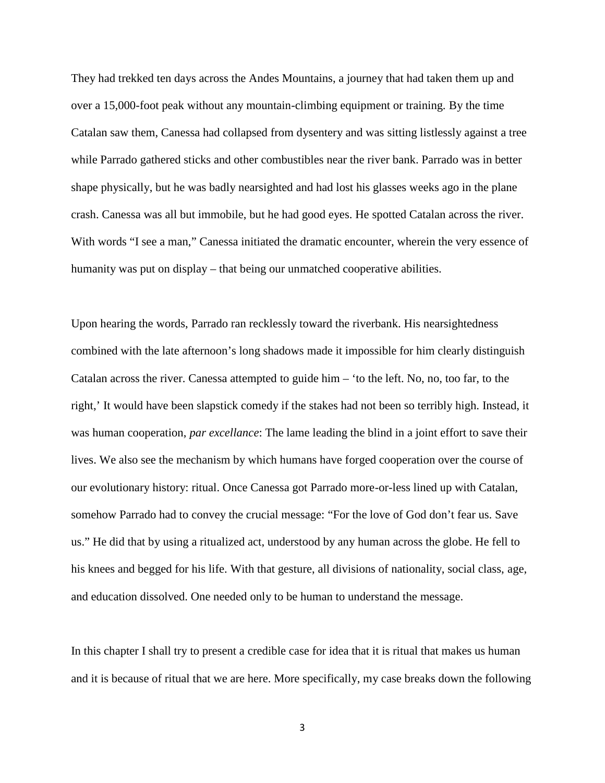They had trekked ten days across the Andes Mountains, a journey that had taken them up and over a 15,000-foot peak without any mountain-climbing equipment or training. By the time Catalan saw them, Canessa had collapsed from dysentery and was sitting listlessly against a tree while Parrado gathered sticks and other combustibles near the river bank. Parrado was in better shape physically, but he was badly nearsighted and had lost his glasses weeks ago in the plane crash. Canessa was all but immobile, but he had good eyes. He spotted Catalan across the river. With words "I see a man," Canessa initiated the dramatic encounter, wherein the very essence of humanity was put on display – that being our unmatched cooperative abilities.

Upon hearing the words, Parrado ran recklessly toward the riverbank. His nearsightedness combined with the late afternoon's long shadows made it impossible for him clearly distinguish Catalan across the river. Canessa attempted to guide him – 'to the left. No, no, too far, to the right,' It would have been slapstick comedy if the stakes had not been so terribly high. Instead, it was human cooperation, *par excellance*: The lame leading the blind in a joint effort to save their lives. We also see the mechanism by which humans have forged cooperation over the course of our evolutionary history: ritual. Once Canessa got Parrado more-or-less lined up with Catalan, somehow Parrado had to convey the crucial message: "For the love of God don't fear us. Save us." He did that by using a ritualized act, understood by any human across the globe. He fell to his knees and begged for his life. With that gesture, all divisions of nationality, social class, age, and education dissolved. One needed only to be human to understand the message.

In this chapter I shall try to present a credible case for idea that it is ritual that makes us human and it is because of ritual that we are here. More specifically, my case breaks down the following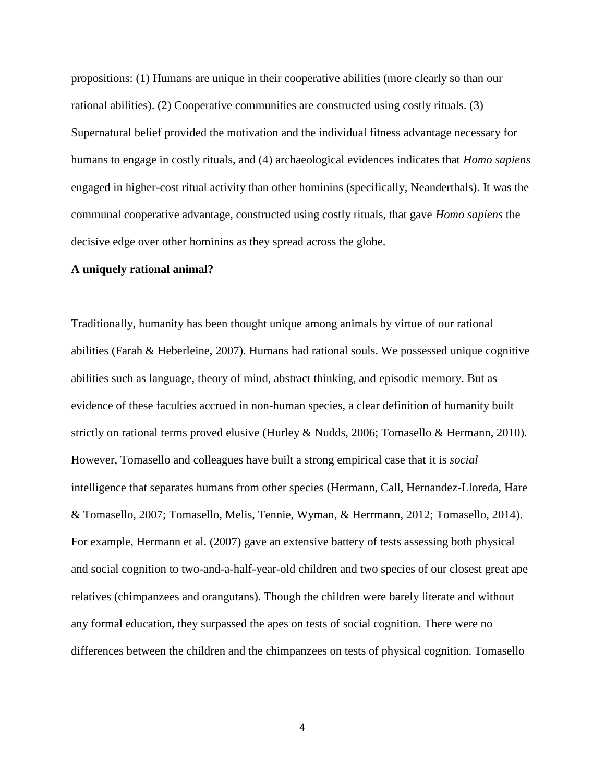propositions: (1) Humans are unique in their cooperative abilities (more clearly so than our rational abilities). (2) Cooperative communities are constructed using costly rituals. (3) Supernatural belief provided the motivation and the individual fitness advantage necessary for humans to engage in costly rituals, and (4) archaeological evidences indicates that *Homo sapiens* engaged in higher-cost ritual activity than other hominins (specifically, Neanderthals). It was the communal cooperative advantage, constructed using costly rituals, that gave *Homo sapiens* the decisive edge over other hominins as they spread across the globe.

#### **A uniquely rational animal?**

Traditionally, humanity has been thought unique among animals by virtue of our rational abilities (Farah & Heberleine, 2007). Humans had rational souls. We possessed unique cognitive abilities such as language, theory of mind, abstract thinking, and episodic memory. But as evidence of these faculties accrued in non-human species, a clear definition of humanity built strictly on rational terms proved elusive (Hurley & Nudds, 2006; Tomasello & Hermann, 2010). However, Tomasello and colleagues have built a strong empirical case that it is *social* intelligence that separates humans from other species (Hermann, Call, Hernandez-Lloreda, Hare & Tomasello, 2007; Tomasello, Melis, Tennie, Wyman, & Herrmann, 2012; Tomasello, 2014). For example, Hermann et al. (2007) gave an extensive battery of tests assessing both physical and social cognition to two-and-a-half-year-old children and two species of our closest great ape relatives (chimpanzees and orangutans). Though the children were barely literate and without any formal education, they surpassed the apes on tests of social cognition. There were no differences between the children and the chimpanzees on tests of physical cognition. Tomasello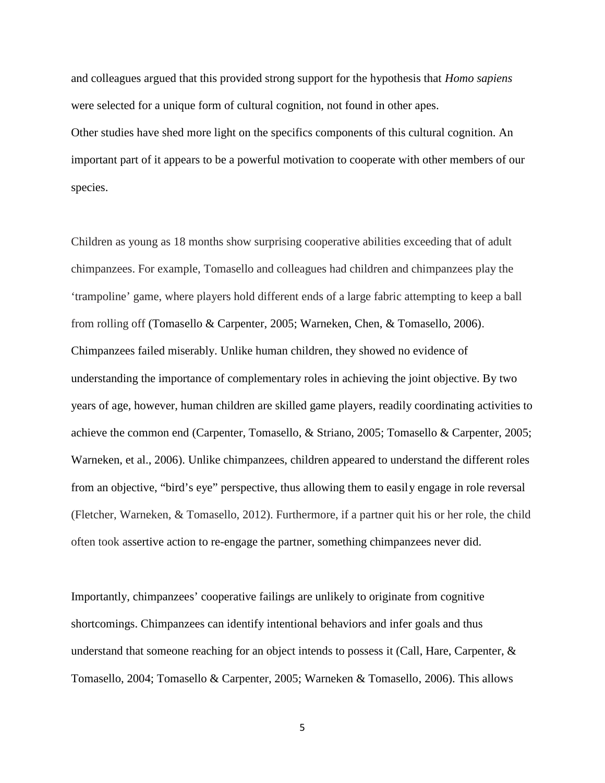and colleagues argued that this provided strong support for the hypothesis that *Homo sapiens* were selected for a unique form of cultural cognition, not found in other apes.

Other studies have shed more light on the specifics components of this cultural cognition. An important part of it appears to be a powerful motivation to cooperate with other members of our species.

Children as young as 18 months show surprising cooperative abilities exceeding that of adult chimpanzees. For example, Tomasello and colleagues had children and chimpanzees play the 'trampoline' game, where players hold different ends of a large fabric attempting to keep a ball from rolling off (Tomasello & Carpenter, 2005; Warneken, Chen, & Tomasello, 2006). Chimpanzees failed miserably. Unlike human children, they showed no evidence of understanding the importance of complementary roles in achieving the joint objective. By two years of age, however, human children are skilled game players, readily coordinating activities to achieve the common end (Carpenter, Tomasello, & Striano, 2005; Tomasello & Carpenter, 2005; Warneken, et al., 2006). Unlike chimpanzees, children appeared to understand the different roles from an objective, "bird's eye" perspective, thus allowing them to easily engage in role reversal (Fletcher, Warneken, & Tomasello, 2012). Furthermore, if a partner quit his or her role, the child often took assertive action to re-engage the partner, something chimpanzees never did.

Importantly, chimpanzees' cooperative failings are unlikely to originate from cognitive shortcomings. Chimpanzees can identify intentional behaviors and infer goals and thus understand that someone reaching for an object intends to possess it (Call, Hare, Carpenter,  $\&$ Tomasello, 2004; Tomasello & Carpenter, 2005; Warneken & Tomasello, 2006). This allows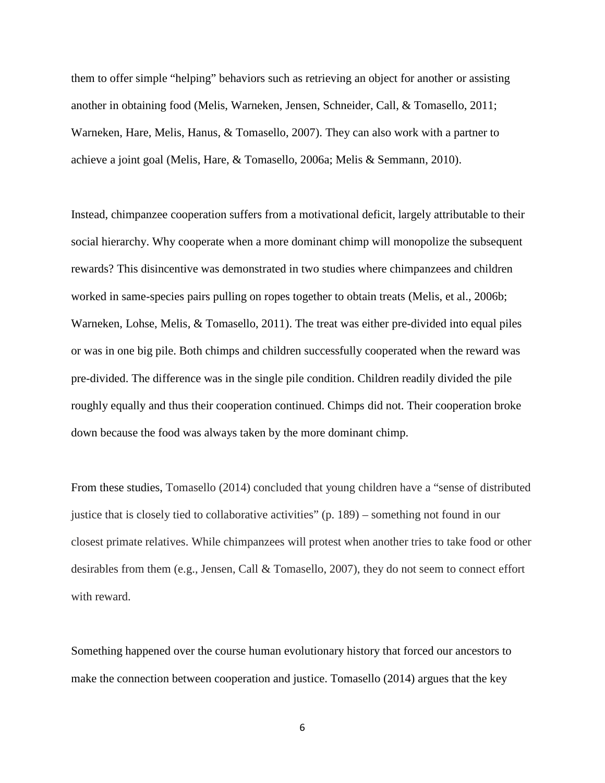them to offer simple "helping" behaviors such as retrieving an object for another or assisting another in obtaining food (Melis, Warneken, Jensen, Schneider, Call, & Tomasello, 2011; Warneken, Hare, Melis, Hanus, & Tomasello, 2007). They can also work with a partner to achieve a joint goal (Melis, Hare, & Tomasello, 2006a; Melis & Semmann, 2010).

Instead, chimpanzee cooperation suffers from a motivational deficit, largely attributable to their social hierarchy. Why cooperate when a more dominant chimp will monopolize the subsequent rewards? This disincentive was demonstrated in two studies where chimpanzees and children worked in same-species pairs pulling on ropes together to obtain treats (Melis, et al., 2006b; Warneken, Lohse, Melis, & Tomasello, 2011). The treat was either pre-divided into equal piles or was in one big pile. Both chimps and children successfully cooperated when the reward was pre-divided. The difference was in the single pile condition. Children readily divided the pile roughly equally and thus their cooperation continued. Chimps did not. Their cooperation broke down because the food was always taken by the more dominant chimp.

From these studies, Tomasello (2014) concluded that young children have a "sense of distributed justice that is closely tied to collaborative activities" (p. 189) – something not found in our closest primate relatives. While chimpanzees will protest when another tries to take food or other desirables from them (e.g., Jensen, Call & Tomasello, 2007), they do not seem to connect effort with reward.

Something happened over the course human evolutionary history that forced our ancestors to make the connection between cooperation and justice. Tomasello (2014) argues that the key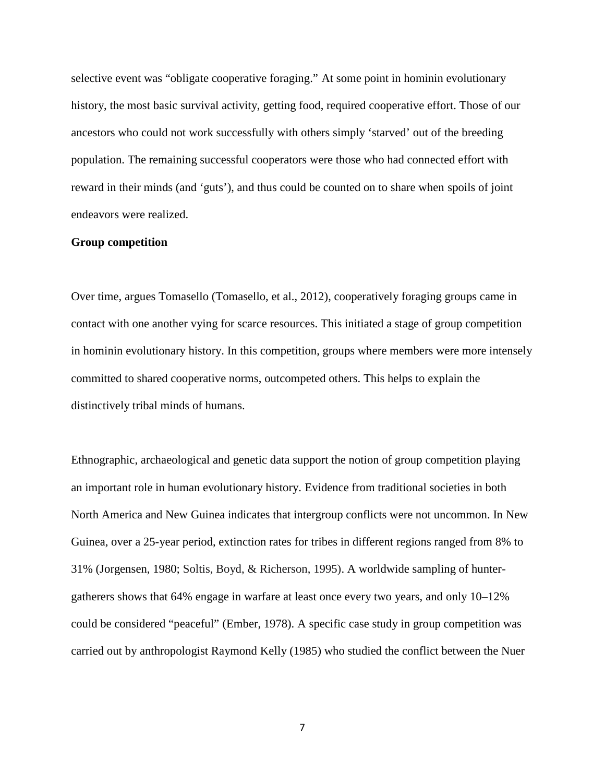selective event was "obligate cooperative foraging." At some point in hominin evolutionary history, the most basic survival activity, getting food, required cooperative effort. Those of our ancestors who could not work successfully with others simply 'starved' out of the breeding population. The remaining successful cooperators were those who had connected effort with reward in their minds (and 'guts'), and thus could be counted on to share when spoils of joint endeavors were realized.

#### **Group competition**

Over time, argues Tomasello (Tomasello, et al., 2012), cooperatively foraging groups came in contact with one another vying for scarce resources. This initiated a stage of group competition in hominin evolutionary history. In this competition, groups where members were more intensely committed to shared cooperative norms, outcompeted others. This helps to explain the distinctively tribal minds of humans.

Ethnographic, archaeological and genetic data support the notion of group competition playing an important role in human evolutionary history. Evidence from traditional societies in both North America and New Guinea indicates that intergroup conflicts were not uncommon. In New Guinea, over a 25-year period, extinction rates for tribes in different regions ranged from 8% to 31% (Jorgensen, 1980; Soltis, Boyd, & Richerson, 1995). A worldwide sampling of hunter gatherers shows that 64% engage in warfare at least once every two years, and only 10–12% could be considered "peaceful" (Ember, 1978). A specific case study in group competition was carried out by anthropologist Raymond Kelly (1985) who studied the conflict between the Nuer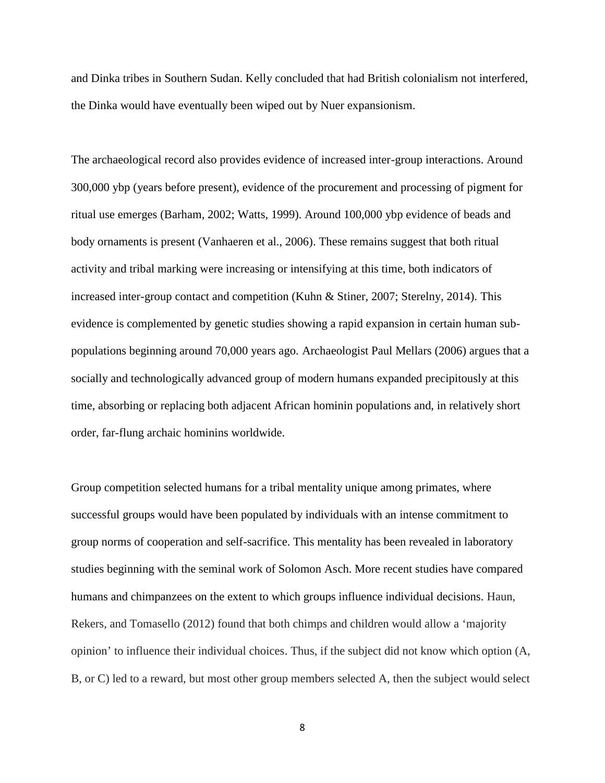and Dinka tribes in Southern Sudan. Kelly concluded that had British colonialism not interfered, the Dinka would have eventually been wiped out by Nuer expansionism.

The archaeological record also provides evidence of increased inter-group interactions. Around 300,000 ybp (years before present), evidence of the procurement and processing of pigment for ritual use emerges (Barham, 2002; Watts, 1999). Around 100,000 ybp evidence of beads and body ornaments is present (Vanhaeren et al., 2006). These remains suggest that both ritual activity and tribal marking were increasing or intensifying at this time, both indicators of increased inter-group contact and competition (Kuhn & Stiner, 2007; Sterelny, 2014). This evidence is complemented by genetic studies showing a rapid expansion in certain human sub populations beginning around 70,000 years ago. Archaeologist Paul Mellars (2006) argues that a socially and technologically advanced group of modern humans expanded precipitously at this time, absorbing or replacing both adjacent African hominin populations and, in relatively short order, far-flung archaic hominins worldwide.

Group competition selected humans for a tribal mentality unique among primates, where successful groups would have been populated by individuals with an intense commitment to group norms of cooperation and self-sacrifice. This mentality has been revealed in laboratory studies beginning with the seminal work of Solomon Asch. More recent studies have compared humans and chimpanzees on the extent to which groups influence individual decisions. Haun, Rekers, and Tomasello (2012) found that both chimps and children would allow a 'majority opinion' to influence their individual choices. Thus, if the subject did not know which option (A, B, or C) led to a reward, but most other group members selected A, then the subject would select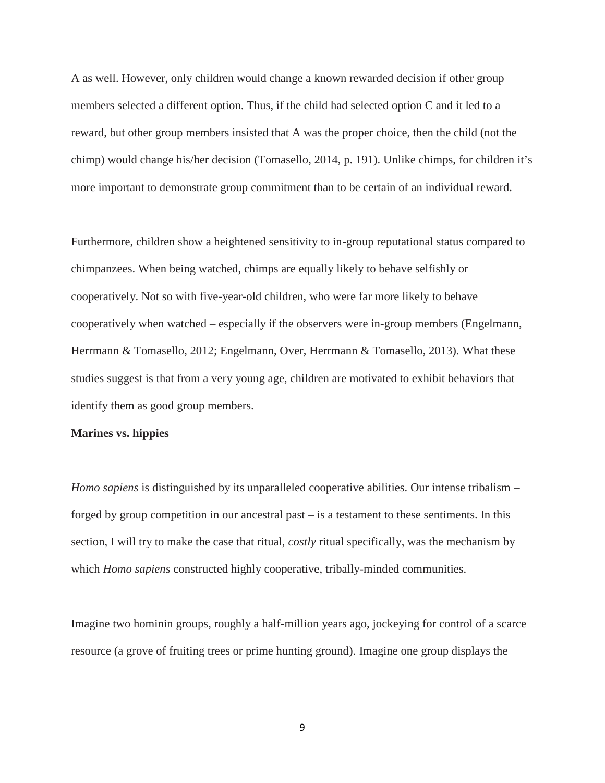A as well. However, only children would change a known rewarded decision if other group members selected a different option. Thus, if the child had selected option C and it led to a reward, but other group members insisted that A was the proper choice, then the child (not the chimp) would change his/her decision (Tomasello, 2014, p. 191). Unlike chimps, for children it's more important to demonstrate group commitment than to be certain of an individual reward.

Furthermore, children show a heightened sensitivity to in-group reputational status compared to chimpanzees. When being watched, chimps are equally likely to behave selfishly or cooperatively. Not so with five-year-old children, who were far more likely to behave cooperatively when watched – especially if the observers were in-group members (Engelmann, Herrmann & Tomasello, 2012; Engelmann, Over, Herrmann & Tomasello, 2013). What these studies suggest is that from a very young age, children are motivated to exhibit behaviors that identify them as good group members.

## **Marines vs. hippies**

*Homo sapiens* is distinguished by its unparalleled cooperative abilities. Our intense tribalism – forged by group competition in our ancestral past – is a testament to these sentiments. In this section, I will try to make the case that ritual, *costly* ritual specifically, was the mechanism by which *Homo sapiens* constructed highly cooperative, tribally-minded communities.

Imagine two hominin groups, roughly a half-million years ago, jockeying for control of a scarce resource (a grove of fruiting trees or prime hunting ground). Imagine one group displays the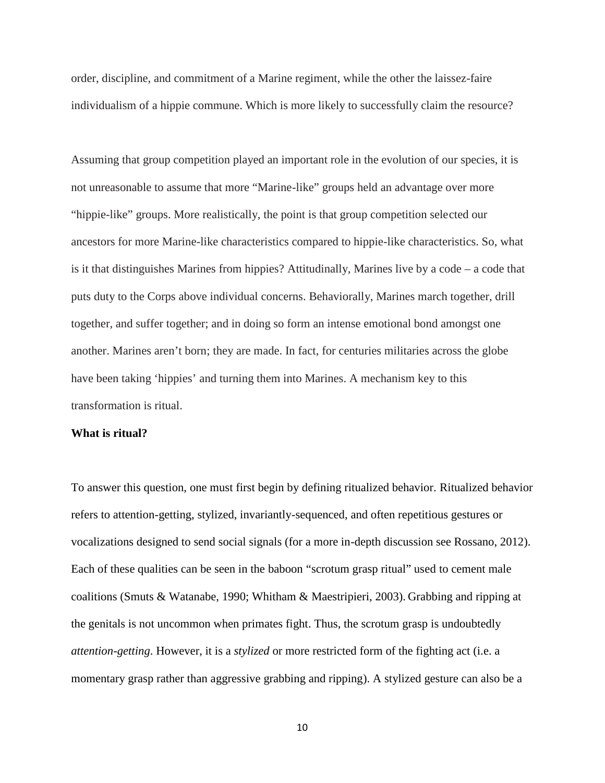order, discipline, and commitment of a Marine regiment, while the other the laissez-faire individualism of a hippie commune. Which is more likely to successfully claim the resource?

Assuming that group competition played an important role in the evolution of our species, it is not unreasonable to assume that more "Marine-like" groups held an advantage over more "hippie-like" groups. More realistically, the point is that group competition selected our ancestors for more Marine-like characteristics compared to hippie-like characteristics. So, what is it that distinguishes Marines from hippies? Attitudinally, Marines live by a code – a code that puts duty to the Corps above individual concerns. Behaviorally, Marines march together, drill together, and suffer together; and in doing so form an intense emotional bond amongst one another. Marines aren't born; they are made. In fact, for centuries militaries across the globe have been taking 'hippies' and turning them into Marines. A mechanism key to this transformation is ritual.

#### **What is ritual?**

To answer this question, one must first begin by defining ritualized behavior. Ritualized behavior refers to attention-getting, stylized, invariantly-sequenced, and often repetitious gestures or vocalizations designed to send social signals (for a more in-depth discussion see Rossano, 2012). Each of these qualities can be seen in the baboon "scrotum grasp ritual" used to cement male coalitions (Smuts & Watanabe, 1990; Whitham & Maestripieri, 2003). Grabbing and ripping at the genitals is not uncommon when primates fight. Thus, the scrotum grasp is undoubtedly *attention-getting*. However, it is a *stylized* or more restricted form of the fighting act (i.e. a momentary grasp rather than aggressive grabbing and ripping). A stylized gesture can also be a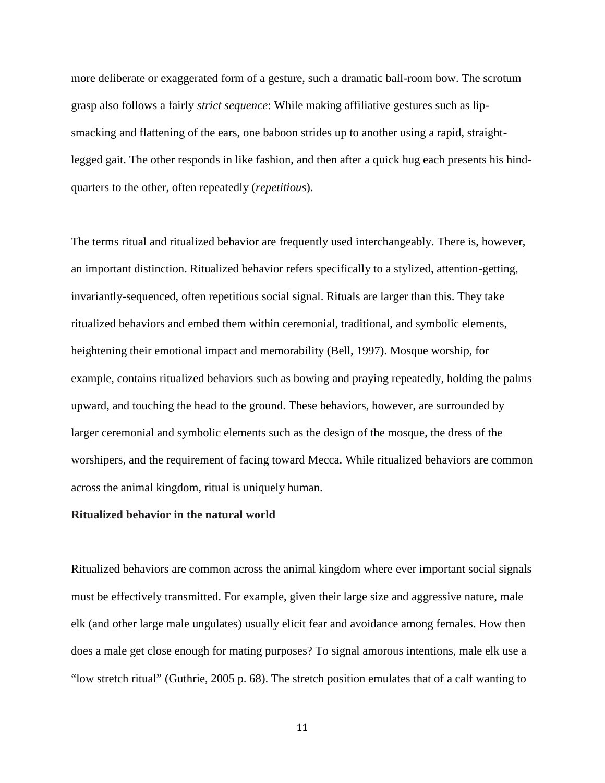more deliberate or exaggerated form of a gesture, such a dramatic ball-room bow. The scrotum grasp also follows a fairly *strict sequence*: While making affiliative gestures such as lip smacking and flattening of the ears, one baboon strides up to another using a rapid, straightlegged gait. The other responds in like fashion, and then after a quick hug each presents his hind quarters to the other, often repeatedly (*repetitious*).

The terms ritual and ritualized behavior are frequently used interchangeably. There is, however, an important distinction. Ritualized behavior refers specifically to a stylized, attention-getting, invariantly-sequenced, often repetitious social signal. Rituals are larger than this. They take ritualized behaviors and embed them within ceremonial, traditional, and symbolic elements, heightening their emotional impact and memorability (Bell, 1997). Mosque worship, for example, contains ritualized behaviors such as bowing and praying repeatedly, holding the palms upward, and touching the head to the ground. These behaviors, however, are surrounded by larger ceremonial and symbolic elements such as the design of the mosque, the dress of the worshipers, and the requirement of facing toward Mecca. While ritualized behaviors are common across the animal kingdom, ritual is uniquely human.

## **Ritualized behavior in the natural world**

Ritualized behaviors are common across the animal kingdom where ever important social signals must be effectively transmitted. For example, given their large size and aggressive nature, male elk (and other large male ungulates) usually elicit fear and avoidance among females. How then does a male get close enough for mating purposes? To signal amorous intentions, male elk use a "low stretch ritual" (Guthrie, 2005 p. 68). The stretch position emulates that of a calf wanting to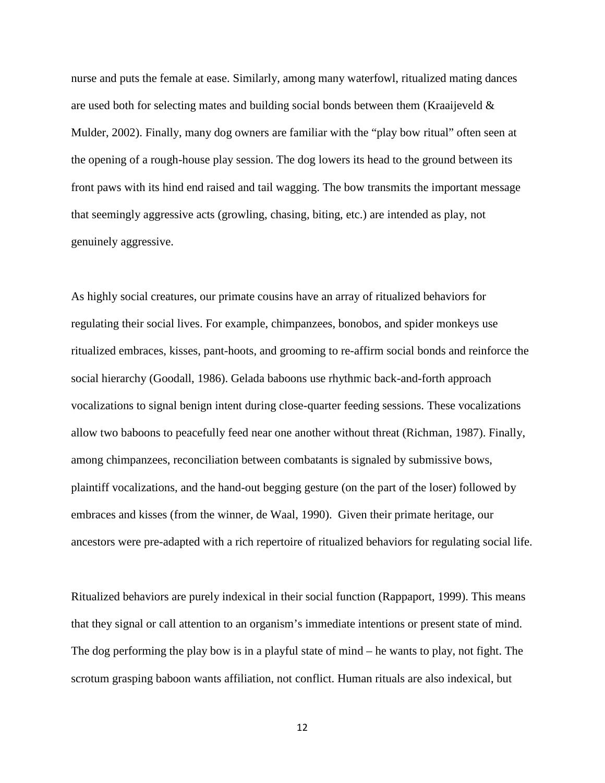nurse and puts the female at ease. Similarly, among many waterfowl, ritualized mating dances are used both for selecting mates and building social bonds between them (Kraaijeveld  $\&$ Mulder, 2002). Finally, many dog owners are familiar with the "play bow ritual" often seen at the opening of a rough-house play session. The dog lowers its head to the ground between its front paws with its hind end raised and tail wagging. The bow transmits the important message that seemingly aggressive acts (growling, chasing, biting, etc.) are intended as play, not genuinely aggressive.

As highly social creatures, our primate cousins have an array of ritualized behaviors for regulating their social lives. For example, chimpanzees, bonobos, and spider monkeys use ritualized embraces, kisses, pant-hoots, and grooming to re-affirm social bonds and reinforce the social hierarchy (Goodall, 1986). Gelada baboons use rhythmic back-and-forth approach vocalizations to signal benign intent during close-quarter feeding sessions. These vocalizations allow two baboons to peacefully feed near one another without threat (Richman, 1987). Finally, among chimpanzees, reconciliation between combatants is signaled by submissive bows, plaintiff vocalizations, and the hand-out begging gesture (on the part of the loser) followed by embraces and kisses (from the winner, de Waal, 1990). Given their primate heritage, our ancestors were pre-adapted with a rich repertoire of ritualized behaviors for regulating social life.

Ritualized behaviors are purely indexical in their social function (Rappaport, 1999). This means that they signal or call attention to an organism's immediate intentions or present state of mind. The dog performing the play bow is in a playful state of mind – he wants to play, not fight. The scrotum grasping baboon wants affiliation, not conflict. Human rituals are also indexical, but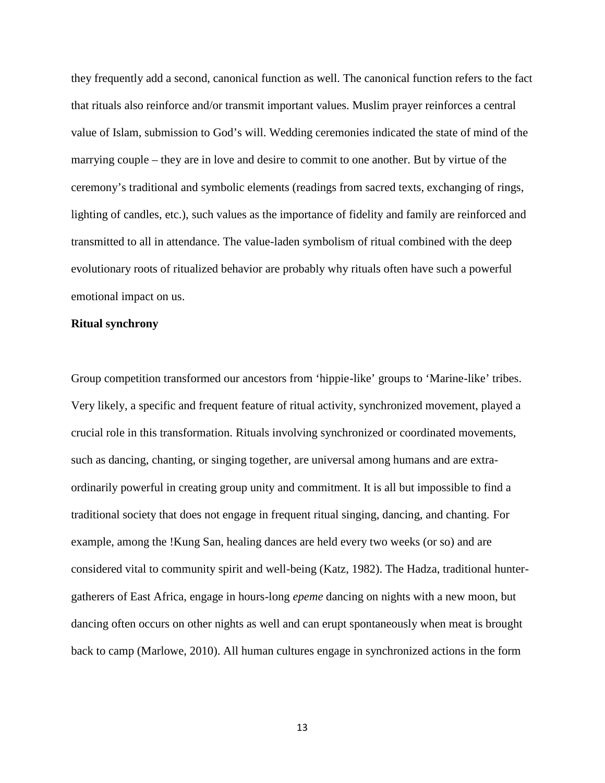they frequently add a second, canonical function as well. The canonical function refers to the fact that rituals also reinforce and/or transmit important values. Muslim prayer reinforces a central value of Islam, submission to God's will. Wedding ceremonies indicated the state of mind of the marrying couple – they are in love and desire to commit to one another. But by virtue of the ceremony's traditional and symbolic elements (readings from sacred texts, exchanging of rings, lighting of candles, etc.), such values as the importance of fidelity and family are reinforced and transmitted to all in attendance. The value-laden symbolism of ritual combined with the deep evolutionary roots of ritualized behavior are probably why rituals often have such a powerful emotional impact on us.

#### **Ritual synchrony**

Group competition transformed our ancestors from 'hippie-like' groups to 'Marine-like' tribes. Very likely, a specific and frequent feature of ritual activity, synchronized movement, played a crucial role in this transformation. Rituals involving synchronized or coordinated movements, such as dancing, chanting, or singing together, are universal among humans and are extra ordinarily powerful in creating group unity and commitment. It is all but impossible to find a traditional society that does not engage in frequent ritual singing, dancing, and chanting. For example, among the !Kung San, healing dances are held every two weeks (or so) and are considered vital to community spirit and well-being (Katz, 1982). The Hadza, traditional hunter gatherers of East Africa, engage in hours-long *epeme* dancing on nights with a new moon, but dancing often occurs on other nights as well and can erupt spontaneously when meat is brought back to camp (Marlowe, 2010). All human cultures engage in synchronized actions in the form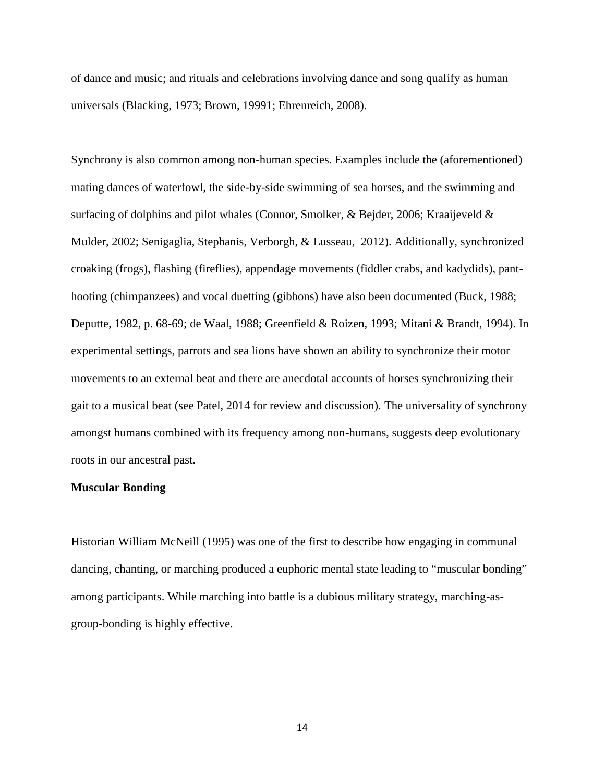of dance and music; and rituals and celebrations involving dance and song qualify as human universals (Blacking, 1973; Brown, 19991; Ehrenreich, 2008).

Synchrony is also common among non-human species. Examples include the (aforementioned) mating dances of waterfowl, the side-by-side swimming of sea horses, and the swimming and surfacing of dolphins and pilot whales (Connor, Smolker, & Bejder, 2006; Kraaijeveld & Mulder, 2002; Senigaglia, Stephanis, Verborgh, & Lusseau, 2012). Additionally, synchronized croaking (frogs), flashing (fireflies), appendage movements (fiddler crabs, and kadydids), pant hooting (chimpanzees) and vocal duetting (gibbons) have also been documented (Buck, 1988; Deputte, 1982, p. 68-69; de Waal, 1988; Greenfield & Roizen, 1993; Mitani & Brandt, 1994). In experimental settings, parrots and sea lions have shown an ability to synchronize their motor movements to an external beat and there are anecdotal accounts of horses synchronizing their gait to a musical beat (see Patel, 2014 for review and discussion). The universality of synchrony amongst humans combined with its frequency among non-humans, suggests deep evolutionary roots in our ancestral past.

#### **Muscular Bonding**

Historian William McNeill (1995) was one of the first to describe how engaging in communal dancing, chanting, or marching produced a euphoric mental state leading to "muscular bonding" among participants. While marching into battle is a dubious military strategy, marching-as group-bonding is highly effective.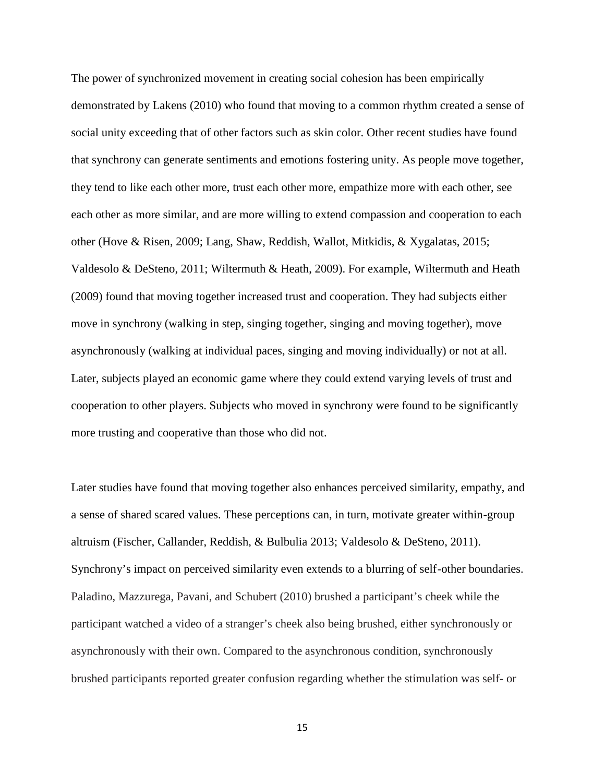The power of synchronized movement in creating social cohesion has been empirically demonstrated by Lakens (2010) who found that moving to a common rhythm created a sense of social unity exceeding that of other factors such as skin color. Other recent studies have found that synchrony can generate sentiments and emotions fostering unity. As people move together, they tend to like each other more, trust each other more, empathize more with each other, see each other as more similar, and are more willing to extend compassion and cooperation to each other (Hove & Risen, 2009; Lang, Shaw, Reddish, Wallot, Mitkidis, & Xygalatas, 2015; Valdesolo & DeSteno, 2011; Wiltermuth & Heath, 2009). For example, Wiltermuth and Heath (2009) found that moving together increased trust and cooperation. They had subjects either move in synchrony (walking in step, singing together, singing and moving together), move asynchronously (walking at individual paces, singing and moving individually) or not at all. Later, subjects played an economic game where they could extend varying levels of trust and cooperation to other players. Subjects who moved in synchrony were found to be significantly more trusting and cooperative than those who did not.

Later studies have found that moving together also enhances perceived similarity, empathy, and a sense of shared scared values. These perceptions can, in turn, motivate greater within-group altruism (Fischer, Callander, Reddish, & Bulbulia 2013; Valdesolo & DeSteno, 2011). Synchrony's impact on perceived similarity even extends to a blurring of self-other boundaries. Paladino, Mazzurega, Pavani, and Schubert (2010) brushed a participant's cheek while the participant watched a video of a stranger's cheek also being brushed, either synchronously or asynchronously with their own. Compared to the asynchronous condition, synchronously brushed participants reported greater confusion regarding whether the stimulation was self- or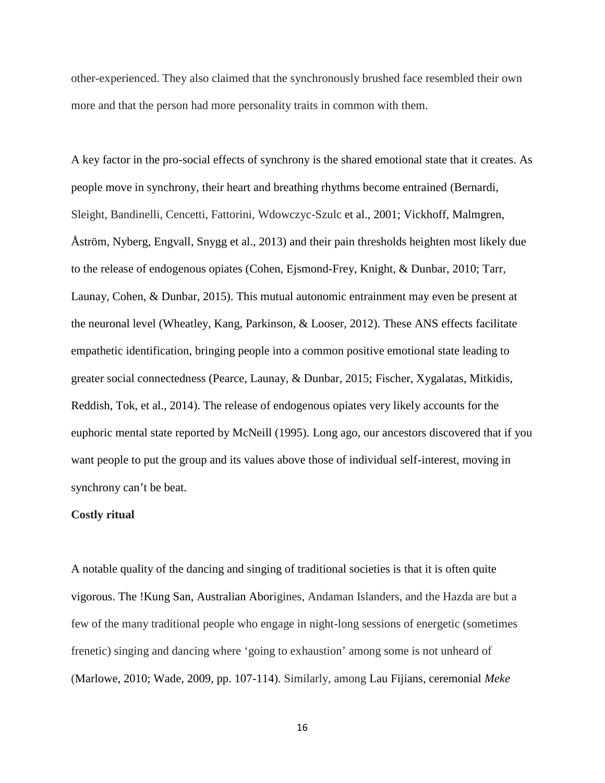other-experienced. They also claimed that the synchronously brushed face resembled their own more and that the person had more personality traits in common with them.

A key factor in the pro-social effects of synchrony is the shared emotional state that it creates. As people move in synchrony, their heart and breathing rhythms become entrained (Bernardi, Sleight, Bandinelli, Cencetti, Fattorini, Wdowczyc-Szulc et al., 2001; Vickhoff, Malmgren, Åström, Nyberg, Engvall, Snygg et al., 2013) and their pain thresholds heighten most likely due to the release of endogenous opiates (Cohen, Ejsmond-Frey, Knight, & Dunbar, 2010; Tarr, Launay, Cohen, & Dunbar, 2015). This mutual autonomic entrainment may even be present at the neuronal level (Wheatley, Kang, Parkinson, & Looser, 2012). These ANS effects facilitate empathetic identification, bringing people into a common positive emotional state leading to greater social connectedness (Pearce, Launay, & Dunbar, 2015; Fischer, Xygalatas, Mitkidis, Reddish, Tok, et al., 2014). The release of endogenous opiates very likely accounts for the euphoric mental state reported by McNeill (1995). Long ago, our ancestors discovered that if you want people to put the group and its values above those of individual self-interest, moving in synchrony can't be beat.

## **Costly ritual**

A notable quality of the dancing and singing of traditional societies is that it is often quite vigorous. The !Kung San, Australian Aborigines, Andaman Islanders, and the Hazda are but a few of the many traditional people who engage in night-long sessions of energetic (sometimes frenetic) singing and dancing where 'going to exhaustion' among some is not unheard of (Marlowe, 2010; Wade, 2009, pp. 107-114). Similarly, among Lau Fijians, ceremonial *Meke*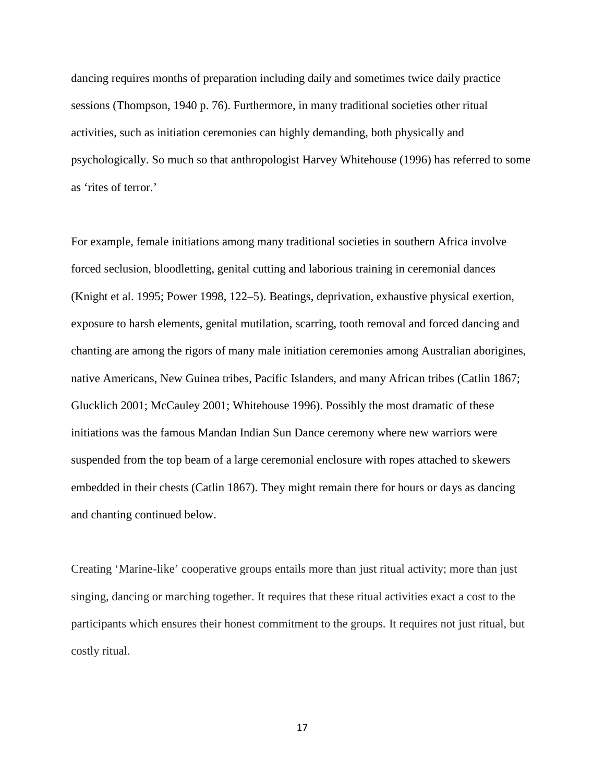dancing requires months of preparation including daily and sometimes twice daily practice sessions (Thompson, 1940 p. 76). Furthermore, in many traditional societies other ritual activities, such as initiation ceremonies can highly demanding, both physically and psychologically. So much so that anthropologist Harvey Whitehouse (1996) has referred to some as 'rites of terror.'

For example, female initiations among many traditional societies in southern Africa involve forced seclusion, bloodletting, genital cutting and laborious training in ceremonial dances (Knight et al. 1995; Power 1998, 122–5). Beatings, deprivation, exhaustive physical exertion, exposure to harsh elements, genital mutilation, scarring, tooth removal and forced dancing and chanting are among the rigors of many male initiation ceremonies among Australian aborigines, native Americans, New Guinea tribes, Pacific Islanders, and many African tribes (Catlin 1867; Glucklich 2001; McCauley 2001; Whitehouse 1996). Possibly the most dramatic of these initiations was the famous Mandan Indian Sun Dance ceremony where new warriors were suspended from the top beam of a large ceremonial enclosure with ropes attached to skewers embedded in their chests (Catlin 1867). They might remain there for hours or days as dancing and chanting continued below.

Creating 'Marine-like' cooperative groups entails more than just ritual activity; more than just singing, dancing or marching together. It requires that these ritual activities exact a cost to the participants which ensures their honest commitment to the groups. It requires not just ritual, but costly ritual.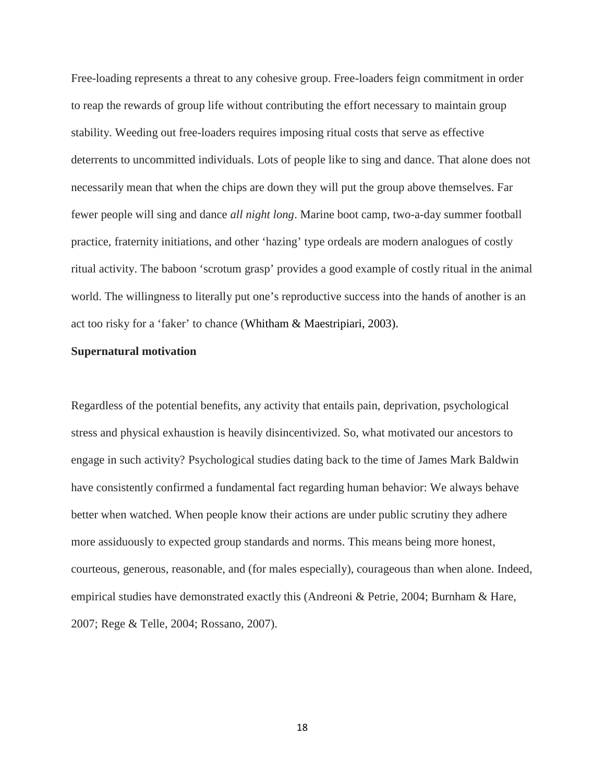Free-loading represents a threat to any cohesive group. Free-loaders feign commitment in order to reap the rewards of group life without contributing the effort necessary to maintain group stability. Weeding out free-loaders requires imposing ritual costs that serve as effective deterrents to uncommitted individuals. Lots of people like to sing and dance. That alone does not necessarily mean that when the chips are down they will put the group above themselves. Far fewer people will sing and dance *all night long*. Marine boot camp, two-a-day summer football practice, fraternity initiations, and other 'hazing' type ordeals are modern analogues of costly ritual activity. The baboon 'scrotum grasp' provides a good example of costly ritual in the animal world. The willingness to literally put one's reproductive success into the hands of another is an act too risky for a 'faker' to chance (Whitham & Maestripiari, 2003).

## **Supernatural motivation**

Regardless of the potential benefits, any activity that entails pain, deprivation, psychological stress and physical exhaustion is heavily disincentivized. So, what motivated our ancestors to engage in such activity? Psychological studies dating back to the time of James Mark Baldwin have consistently confirmed a fundamental fact regarding human behavior: We always behave better when watched. When people know their actions are under public scrutiny they adhere more assiduously to expected group standards and norms. This means being more honest, courteous, generous, reasonable, and (for males especially), courageous than when alone. Indeed, empirical studies have demonstrated exactly this (Andreoni & Petrie, 2004; Burnham & Hare, 2007; Rege & Telle, 2004; Rossano, 2007).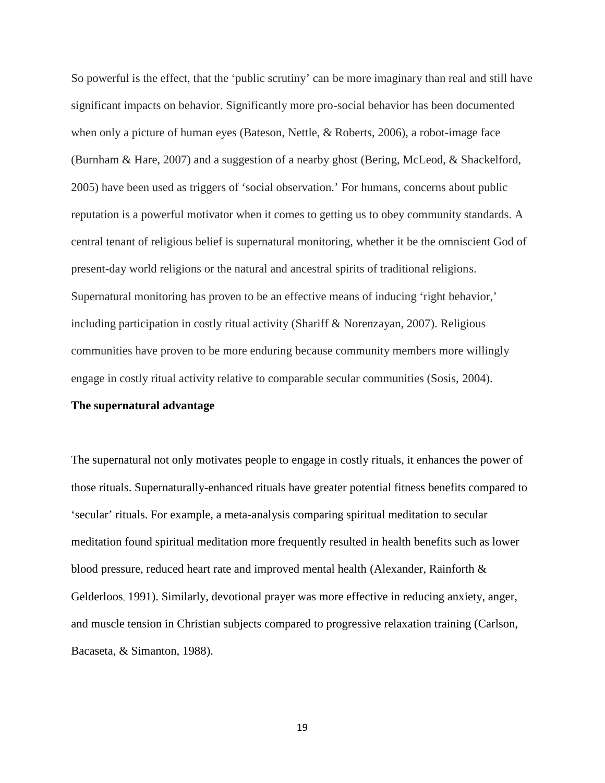So powerful is the effect, that the 'public scrutiny' can be more imaginary than real and still have significant impacts on behavior. Significantly more pro-social behavior has been documented when only a picture of human eyes (Bateson, Nettle, & Roberts, 2006), a robot-image face (Burnham & Hare, 2007) and a suggestion of a nearby ghost (Bering, McLeod, & Shackelford, 2005) have been used as triggers of 'social observation.' For humans, concerns about public reputation is a powerful motivator when it comes to getting us to obey community standards. A central tenant of religious belief is supernatural monitoring, whether it be the omniscient God of present-day world religions or the natural and ancestral spirits of traditional religions. Supernatural monitoring has proven to be an effective means of inducing 'right behavior,' including participation in costly ritual activity (Shariff & Norenzayan, 2007). Religious communities have proven to be more enduring because community members more willingly engage in costly ritual activity relative to comparable secular communities (Sosis, 2004).

## **The supernatural advantage**

The supernatural not only motivates people to engage in costly rituals, it enhances the power of those rituals. Supernaturally-enhanced rituals have greater potential fitness benefits compared to 'secular' rituals. For example, a meta-analysis comparing spiritual meditation to secular meditation found spiritual meditation more frequently resulted in health benefits such as lower blood pressure, reduced heart rate and improved mental health (Alexander, Rainforth & Gelderloos, 1991). Similarly, devotional prayer was more effective in reducing anxiety, anger, and muscle tension in Christian subjects compared to progressive relaxation training (Carlson, Bacaseta, & Simanton, 1988).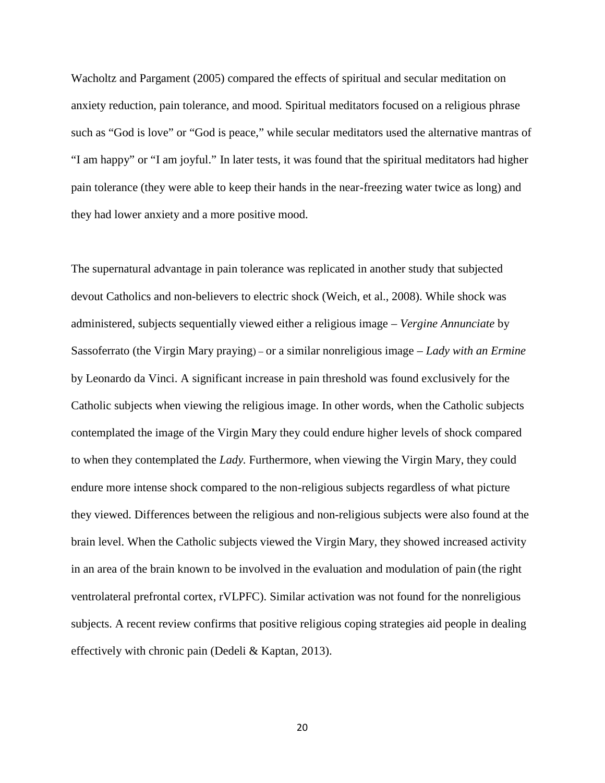Wacholtz and Pargament (2005) compared the effects of spiritual and secular meditation on anxiety reduction, pain tolerance, and mood. Spiritual meditators focused on a religious phrase such as "God is love" or "God is peace," while secular meditators used the alternative mantras of "I am happy" or "I am joyful." In later tests, it was found that the spiritual meditators had higher pain tolerance (they were able to keep their hands in the near-freezing water twice as long) and they had lower anxiety and a more positive mood.

The supernatural advantage in pain tolerance was replicated in another study that subjected devout Catholics and non-believers to electric shock (Weich, et al., 2008). While shock was administered, subjects sequentially viewed either a religious image – *Vergine Annunciate* by Sassoferrato (the Virgin Mary praying) – or a similar nonreligious image – *Lady with an Ermine* by Leonardo da Vinci. A significant increase in pain threshold was found exclusively for the Catholic subjects when viewing the religious image. In other words, when the Catholic subjects contemplated the image of the Virgin Mary they could endure higher levels of shock compared to when they contemplated the *Lady.* Furthermore, when viewing the Virgin Mary, they could endure more intense shock compared to the non-religious subjects regardless of what picture they viewed. Differences between the religious and non-religious subjects were also found at the brain level. When the Catholic subjects viewed the Virgin Mary, they showed increased activity in an area of the brain known to be involved in the evaluation and modulation of pain (the right ventrolateral prefrontal cortex, rVLPFC). Similar activation was not found for the nonreligious subjects. A recent review confirms that positive religious coping strategies aid people in dealing effectively with chronic pain (Dedeli & Kaptan, 2013).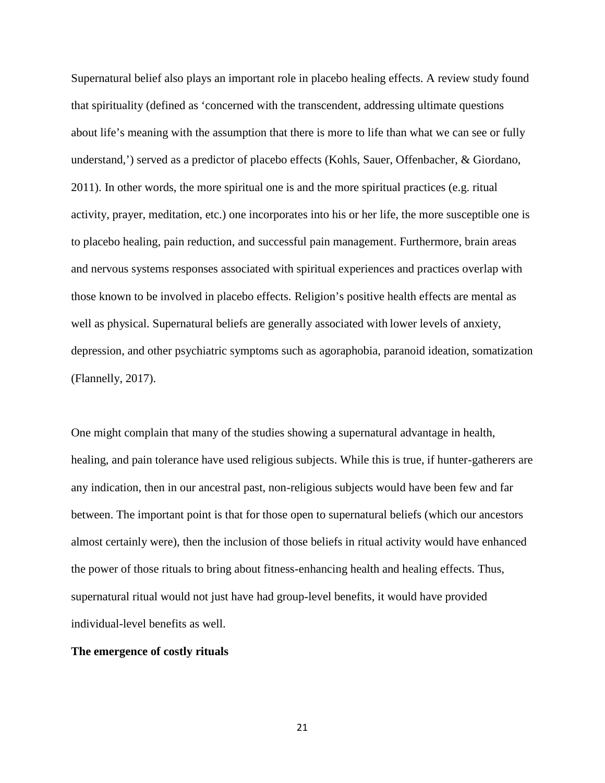Supernatural belief also plays an important role in placebo healing effects. A review study found that spirituality (defined as 'concerned with the transcendent, addressing ultimate questions about life's meaning with the assumption that there is more to life than what we can see or fully understand,') served as a predictor of placebo effects (Kohls, Sauer, Offenbacher, & Giordano, 2011). In other words, the more spiritual one is and the more spiritual practices (e.g. ritual activity, prayer, meditation, etc.) one incorporates into his or her life, the more susceptible one is to placebo healing, pain reduction, and successful pain management. Furthermore, brain areas and nervous systems responses associated with spiritual experiences and practices overlap with those known to be involved in placebo effects. Religion's positive health effects are mental as well as physical. Supernatural beliefs are generally associated with lower levels of anxiety, depression, and other psychiatric symptoms such as agoraphobia, paranoid ideation, somatization (Flannelly, 2017).

One might complain that many of the studies showing a supernatural advantage in health, healing, and pain tolerance have used religious subjects. While this is true, if hunter-gatherers are any indication, then in our ancestral past, non-religious subjects would have been few and far between. The important point is that for those open to supernatural beliefs (which our ancestors almost certainly were), then the inclusion of those beliefs in ritual activity would have enhanced the power of those rituals to bring about fitness-enhancing health and healing effects. Thus, supernatural ritual would not just have had group-level benefits, it would have provided individual-level benefits as well.

# **The emergence of costly rituals**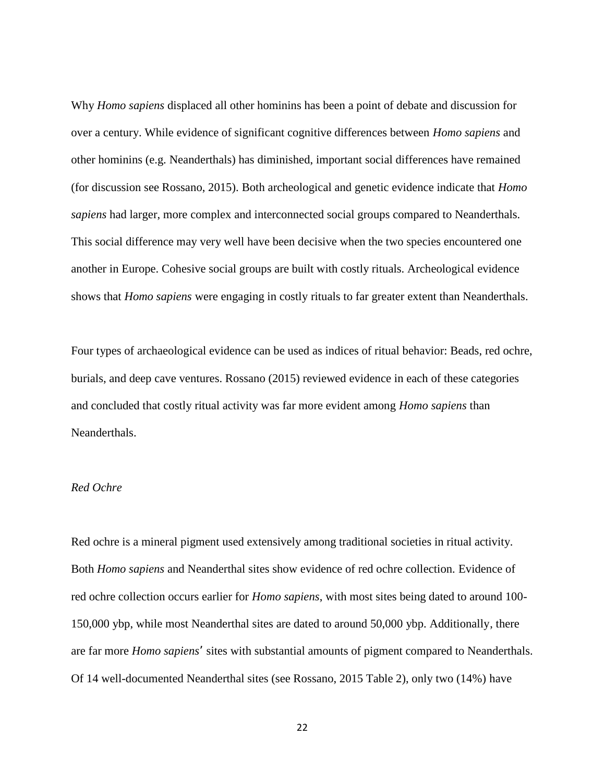Why *Homo sapiens* displaced all other hominins has been a point of debate and discussion for over a century. While evidence of significant cognitive differences between *Homo sapiens* and other hominins (e.g. Neanderthals) has diminished, important social differences have remained (for discussion see Rossano, 2015). Both archeological and genetic evidence indicate that *Homo sapiens* had larger, more complex and interconnected social groups compared to Neanderthals. This social difference may very well have been decisive when the two species encountered one another in Europe. Cohesive social groups are built with costly rituals. Archeological evidence shows that *Homo sapiens* were engaging in costly rituals to far greater extent than Neanderthals.

Four types of archaeological evidence can be used as indices of ritual behavior: Beads, red ochre, burials, and deep cave ventures. Rossano (2015) reviewed evidence in each of these categories and concluded that costly ritual activity was far more evident among *Homo sapiens* than Neanderthals.

# *Red Ochre*

Red ochre is a mineral pigment used extensively among traditional societies in ritual activity. Both *Homo sapiens* and Neanderthal sites show evidence of red ochre collection. Evidence of red ochre collection occurs earlier for *Homo sapiens*, with most sites being dated to around 100- 150,000 ybp, while most Neanderthal sites are dated to around 50,000 ybp. Additionally, there are far more *Homo sapiens'* sites with substantial amounts of pigment compared to Neanderthals. Of 14 well-documented Neanderthal sites (see Rossano, 2015 Table 2), only two (14%) have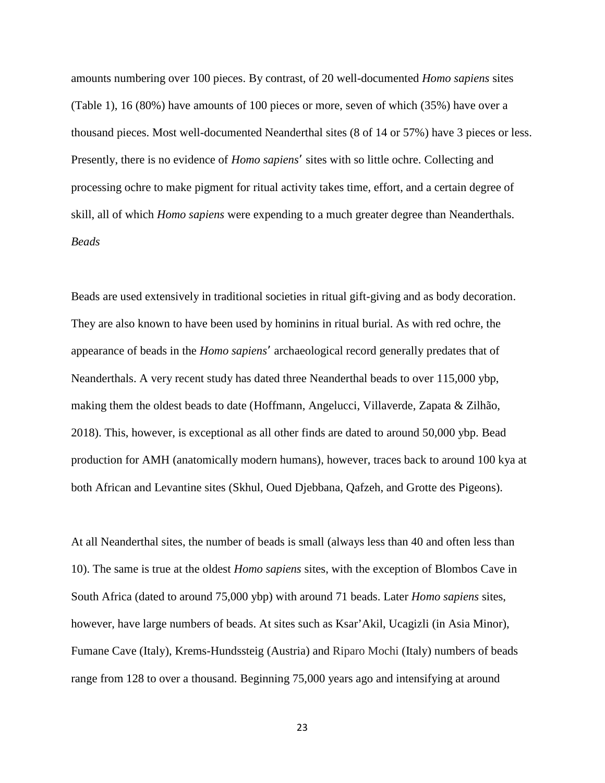amounts numbering over 100 pieces. By contrast, of 20 well-documented *Homo sapiens* sites (Table 1), 16 (80%) have amounts of 100 pieces or more, seven of which (35%) have over a thousand pieces. Most well-documented Neanderthal sites (8 of 14 or 57%) have 3 pieces or less. Presently, there is no evidence of *Homo sapiens'* sites with so little ochre. Collecting and processing ochre to make pigment for ritual activity takes time, effort, and a certain degree of skill, all of which *Homo sapiens* were expending to a much greater degree than Neanderthals. *Beads*

Beads are used extensively in traditional societies in ritual gift-giving and as body decoration. They are also known to have been used by hominins in ritual burial. As with red ochre, the appearance of beads in the *Homo sapiens'* archaeological record generally predates that of Neanderthals. A very recent study has dated three Neanderthal beads to over 115,000 ybp, making them the oldest beads to date (Hoffmann, Angelucci, Villaverde, Zapata & Zilhão, 2018). This, however, is exceptional as all other finds are dated to around 50,000 ybp. Bead production for AMH (anatomically modern humans), however, traces back to around 100 kya at both African and Levantine sites (Skhul, Oued Djebbana, Qafzeh, and Grotte des Pigeons).

At all Neanderthal sites, the number of beads is small (always less than 40 and often less than 10). The same is true at the oldest *Homo sapiens* sites, with the exception of Blombos Cave in South Africa (dated to around 75,000 ybp) with around 71 beads. Later *Homo sapiens* sites, however, have large numbers of beads. At sites such as Ksar'Akil, Ucagizli (in Asia Minor), Fumane Cave (Italy), Krems-Hundssteig (Austria) and Riparo Mochi (Italy) numbers of beads range from 128 to over a thousand. Beginning 75,000 years ago and intensifying at around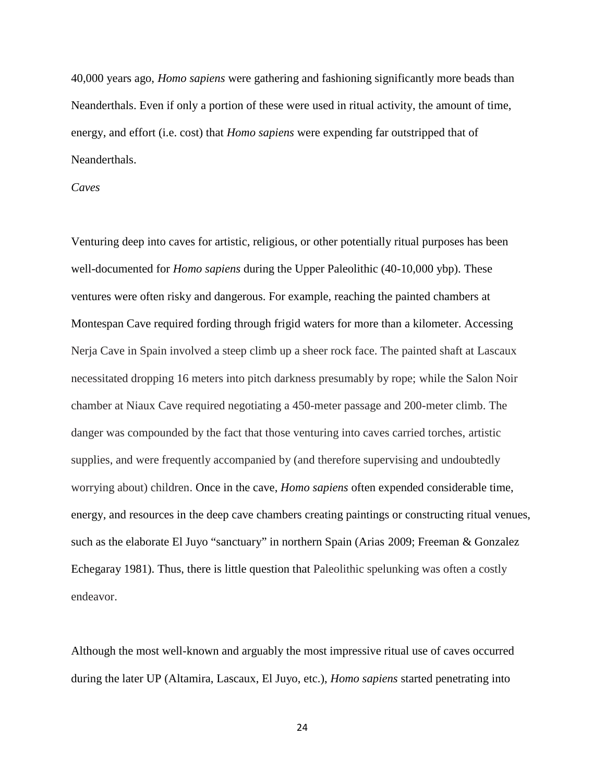40,000 years ago, *Homo sapiens* were gathering and fashioning significantly more beads than Neanderthals. Even if only a portion of these were used in ritual activity, the amount of time, energy, and effort (i.e. cost) that *Homo sapiens* were expending far outstripped that of Neanderthals.

# *Caves*

Venturing deep into caves for artistic, religious, or other potentially ritual purposes has been well-documented for *Homo sapiens* during the Upper Paleolithic (40-10,000 ybp). These ventures were often risky and dangerous. For example, reaching the painted chambers at Montespan Cave required fording through frigid waters for more than a kilometer. Accessing Nerja Cave in Spain involved a steep climb up a sheer rock face. The painted shaft at Lascaux necessitated dropping 16 meters into pitch darkness presumably by rope; while the Salon Noir chamber at Niaux Cave required negotiating a 450-meter passage and 200-meter climb. The danger was compounded by the fact that those venturing into caves carried torches, artistic supplies, and were frequently accompanied by (and therefore supervising and undoubtedly worrying about) children. Once in the cave, *Homo sapiens* often expended considerable time, energy, and resources in the deep cave chambers creating paintings or constructing ritual venues, such as the elaborate El Juyo "sanctuary" in northern Spain (Arias 2009; Freeman & Gonzalez Echegaray 1981). Thus, there is little question that Paleolithic spelunking was often a costly endeavor.

Although the most well-known and arguably the most impressive ritual use of caves occurred during the later UP (Altamira, Lascaux, El Juyo, etc.), *Homo sapiens* started penetrating into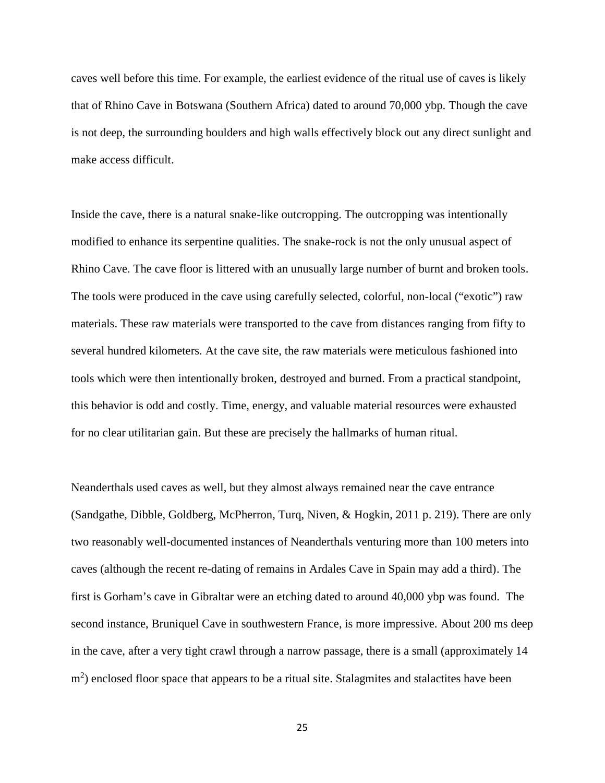caves well before this time. For example, the earliest evidence of the ritual use of caves is likely that of Rhino Cave in Botswana (Southern Africa) dated to around 70,000 ybp. Though the cave is not deep, the surrounding boulders and high walls effectively block out any direct sunlight and make access difficult.

Inside the cave, there is a natural snake-like outcropping. The outcropping was intentionally modified to enhance its serpentine qualities. The snake-rock is not the only unusual aspect of Rhino Cave. The cave floor is littered with an unusually large number of burnt and broken tools. The tools were produced in the cave using carefully selected, colorful, non-local ("exotic") raw materials. These raw materials were transported to the cave from distances ranging from fifty to several hundred kilometers. At the cave site, the raw materials were meticulous fashioned into tools which were then intentionally broken, destroyed and burned. From a practical standpoint, this behavior is odd and costly. Time, energy, and valuable material resources were exhausted for no clear utilitarian gain. But these are precisely the hallmarks of human ritual.

Neanderthals used caves as well, but they almost always remained near the cave entrance (Sandgathe, Dibble, Goldberg, McPherron, Turq, Niven, & Hogkin, 2011 p. 219). There are only two reasonably well-documented instances of Neanderthals venturing more than 100 meters into caves (although the recent re-dating of remains in Ardales Cave in Spain may add a third). The first is Gorham's cave in Gibraltar were an etching dated to around 40,000 ybp was found. The second instance, Bruniquel Cave in southwestern France, is more impressive. About 200 ms deep in the cave, after a very tight crawl through a narrow passage, there is a small (approximately 14 m<sup>2</sup>) enclosed floor space that appears to be a ritual site. Stalagmites and stalactites have been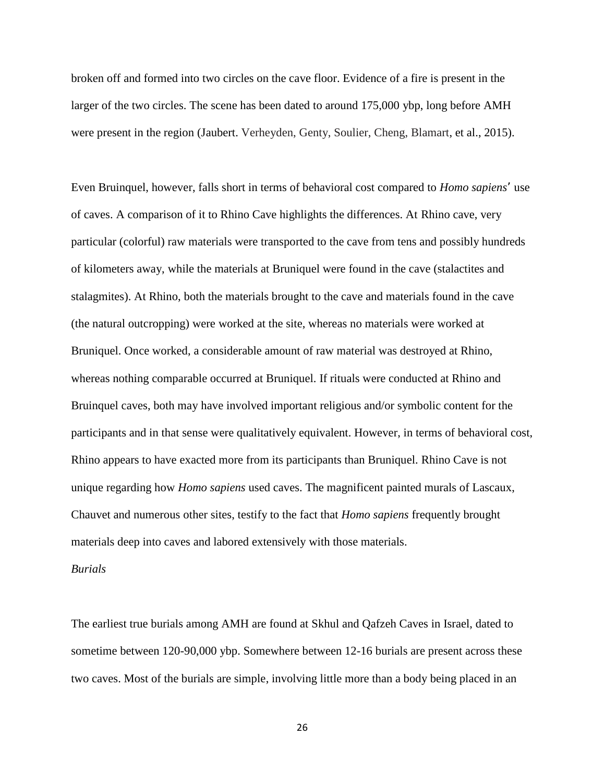broken off and formed into two circles on the cave floor. Evidence of a fire is present in the larger of the two circles. The scene has been dated to around 175,000 ybp, long before AMH were present in the region (Jaubert. Verheyden, Genty, Soulier, Cheng, Blamart, et al., 2015).

Even Bruinquel, however, falls short in terms of behavioral cost compared to *Homo sapiens'* use of caves. A comparison of it to Rhino Cave highlights the differences. At Rhino cave, very particular (colorful) raw materials were transported to the cave from tens and possibly hundreds of kilometers away, while the materials at Bruniquel were found in the cave (stalactites and stalagmites). At Rhino, both the materials brought to the cave and materials found in the cave (the natural outcropping) were worked at the site, whereas no materials were worked at Bruniquel. Once worked, a considerable amount of raw material was destroyed at Rhino, whereas nothing comparable occurred at Bruniquel. If rituals were conducted at Rhino and Bruinquel caves, both may have involved important religious and/or symbolic content for the participants and in that sense were qualitatively equivalent. However, in terms of behavioral cost, Rhino appears to have exacted more from its participants than Bruniquel. Rhino Cave is not unique regarding how *Homo sapiens* used caves. The magnificent painted murals of Lascaux, Chauvet and numerous other sites, testify to the fact that *Homo sapiens* frequently brought materials deep into caves and labored extensively with those materials.

## *Burials*

The earliest true burials among AMH are found at Skhul and Qafzeh Caves in Israel, dated to sometime between 120-90,000 ybp. Somewhere between 12-16 burials are present across these two caves. Most of the burials are simple, involving little more than a body being placed in an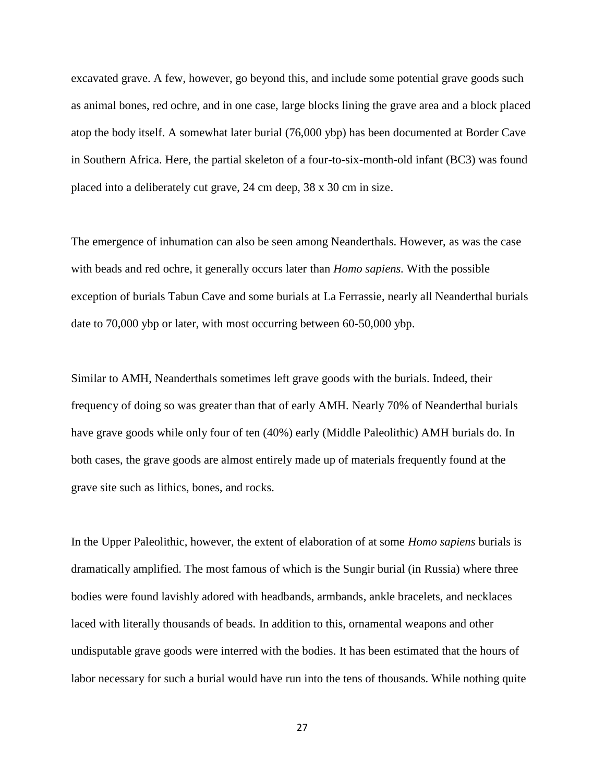excavated grave. A few, however, go beyond this, and include some potential grave goods such as animal bones, red ochre, and in one case, large blocks lining the grave area and a block placed atop the body itself. A somewhat later burial (76,000 ybp) has been documented at Border Cave in Southern Africa. Here, the partial skeleton of a four-to-six-month-old infant (BC3) was found placed into a deliberately cut grave, 24 cm deep, 38 x 30 cm in size.

The emergence of inhumation can also be seen among Neanderthals. However, as was the case with beads and red ochre, it generally occurs later than *Homo sapiens.* With the possible exception of burials Tabun Cave and some burials at La Ferrassie, nearly all Neanderthal burials date to 70,000 ybp or later, with most occurring between 60-50,000 ybp.

Similar to AMH, Neanderthals sometimes left grave goods with the burials. Indeed, their frequency of doing so was greater than that of early AMH. Nearly 70% of Neanderthal burials have grave goods while only four of ten (40%) early (Middle Paleolithic) AMH burials do. In both cases, the grave goods are almost entirely made up of materials frequently found at the grave site such as lithics, bones, and rocks.

In the Upper Paleolithic, however, the extent of elaboration of at some *Homo sapiens* burials is dramatically amplified. The most famous of which is the Sungir burial (in Russia) where three bodies were found lavishly adored with headbands, armbands, ankle bracelets, and necklaces laced with literally thousands of beads. In addition to this, ornamental weapons and other undisputable grave goods were interred with the bodies. It has been estimated that the hours of labor necessary for such a burial would have run into the tens of thousands. While nothing quite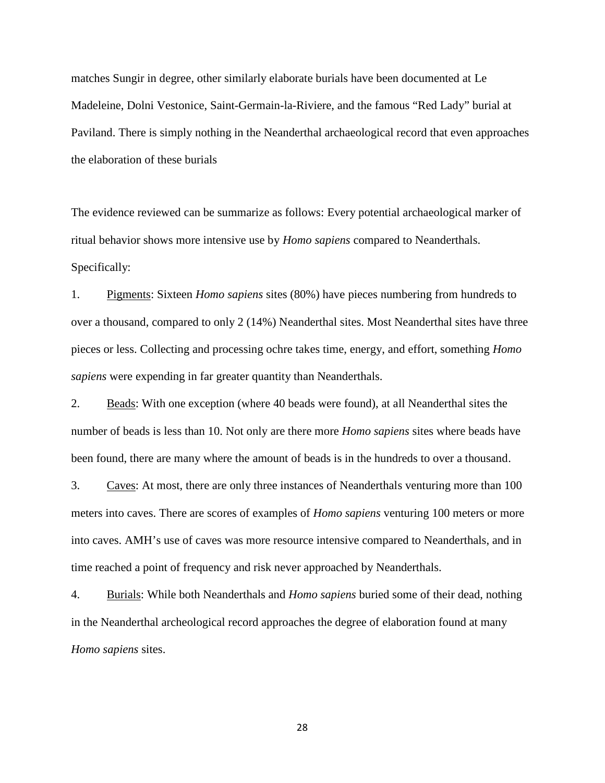matches Sungir in degree, other similarly elaborate burials have been documented at Le Madeleine, Dolni Vestonice, Saint-Germain-la-Riviere, and the famous "Red Lady" burial at Paviland. There is simply nothing in the Neanderthal archaeological record that even approaches the elaboration of these burials

The evidence reviewed can be summarize as follows: Every potential archaeological marker of ritual behavior shows more intensive use by *Homo sapiens* compared to Neanderthals. Specifically:

1. Pigments: Sixteen *Homo sapiens* sites (80%) have pieces numbering from hundreds to over a thousand, compared to only 2 (14%) Neanderthal sites. Most Neanderthal sites have three pieces or less. Collecting and processing ochre takes time, energy, and effort, something *Homo sapiens* were expending in far greater quantity than Neanderthals.

2. Beads: With one exception (where 40 beads were found), at all Neanderthal sites the number of beads is less than 10. Not only are there more *Homo sapiens* sites where beads have been found, there are many where the amount of beads is in the hundreds to over a thousand.

3. Caves: At most, there are only three instances of Neanderthals venturing more than 100 meters into caves. There are scores of examples of *Homo sapiens* venturing 100 meters or more into caves. AMH's use of caves was more resource intensive compared to Neanderthals, and in time reached a point of frequency and risk never approached by Neanderthals.

4. Burials: While both Neanderthals and *Homo sapiens* buried some of their dead, nothing in the Neanderthal archeological record approaches the degree of elaboration found at many *Homo sapiens* sites.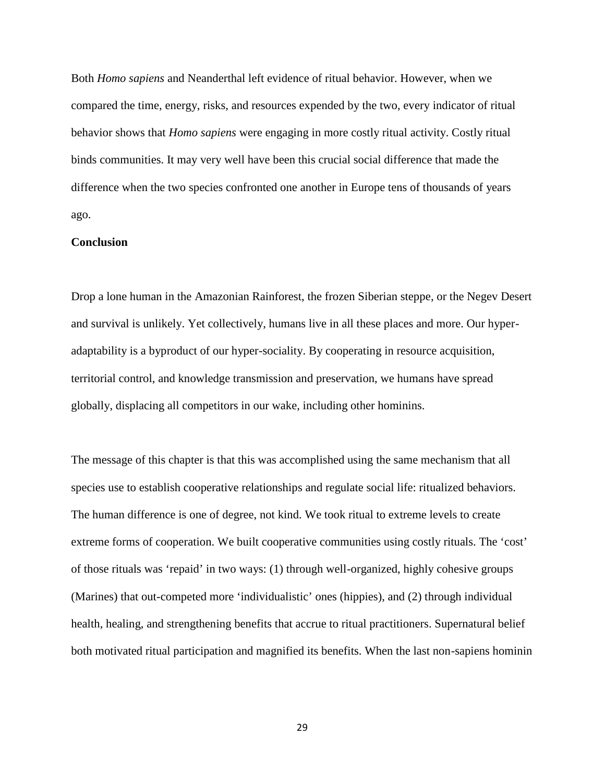Both *Homo sapiens* and Neanderthal left evidence of ritual behavior. However, when we compared the time, energy, risks, and resources expended by the two, every indicator of ritual behavior shows that *Homo sapiens* were engaging in more costly ritual activity. Costly ritual binds communities. It may very well have been this crucial social difference that made the difference when the two species confronted one another in Europe tens of thousands of years ago.

## **Conclusion**

Drop a lone human in the Amazonian Rainforest, the frozen Siberian steppe, or the Negev Desert and survival is unlikely. Yet collectively, humans live in all these places and more. Our hyper adaptability is a byproduct of our hyper-sociality. By cooperating in resource acquisition, territorial control, and knowledge transmission and preservation, we humans have spread globally, displacing all competitors in our wake, including other hominins.

The message of this chapter is that this was accomplished using the same mechanism that all species use to establish cooperative relationships and regulate social life: ritualized behaviors. The human difference is one of degree, not kind. We took ritual to extreme levels to create extreme forms of cooperation. We built cooperative communities using costly rituals. The 'cost' of those rituals was 'repaid' in two ways: (1) through well-organized, highly cohesive groups (Marines) that out-competed more 'individualistic' ones (hippies), and (2) through individual health, healing, and strengthening benefits that accrue to ritual practitioners. Supernatural belief both motivated ritual participation and magnified its benefits. When the last non-sapiens hominin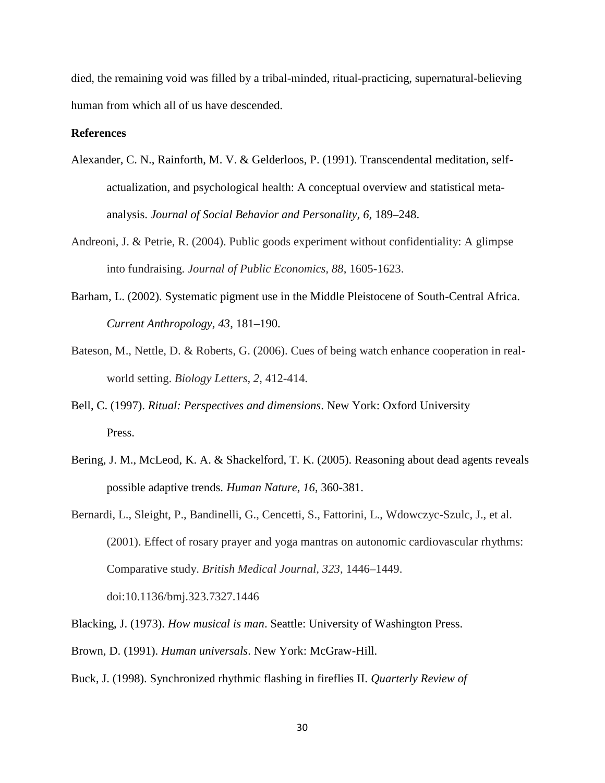died, the remaining void was filled by a tribal-minded, ritual-practicing, supernatural-believing human from which all of us have descended.

# **References**

- Alexander, C. N., Rainforth, M. V. & Gelderloos, P. (1991). Transcendental meditation, self actualization, and psychological health: A conceptual overview and statistical meta analysis. *Journal of Social Behavior and Personality, 6,* 189–248.
- Andreoni, J. & Petrie, R. (2004). Public goods experiment without confidentiality: A glimpse into fundraising. *Journal of Public Economics, 88*, 1605-1623.
- Barham, L. (2002). Systematic pigment use in the Middle Pleistocene of South-Central Africa. *Current Anthropology, 43*, 181–190.
- Bateson, M., Nettle, D. & Roberts, G. (2006). Cues of being watch enhance cooperation in real world setting. *Biology Letters, 2*, 412-414.
- Bell, C. (1997). *Ritual: Perspectives and dimensions*. New York: Oxford University Press.
- Bering, J. M., McLeod, K. A. & Shackelford, T. K. (2005). Reasoning about dead agents reveals possible adaptive trends. *Human Nature, 16*, 360-381.
- Bernardi, L., Sleight, P., Bandinelli, G., Cencetti, S., Fattorini, L., Wdowczyc-Szulc, J., et al. (2001). Effect of rosary prayer and yoga mantras on autonomic cardiovascular rhythms: Comparative study. *British Medical Journal, 323*, 1446–1449. doi:10.1136/bmj.323.7327.1446
- Blacking, J. (1973). *How musical is man*. Seattle: University of Washington Press.
- Brown, D. (1991). *Human universals*. New York: McGraw-Hill.
- Buck, J. (1998). Synchronized rhythmic flashing in fireflies II. *Quarterly Review of*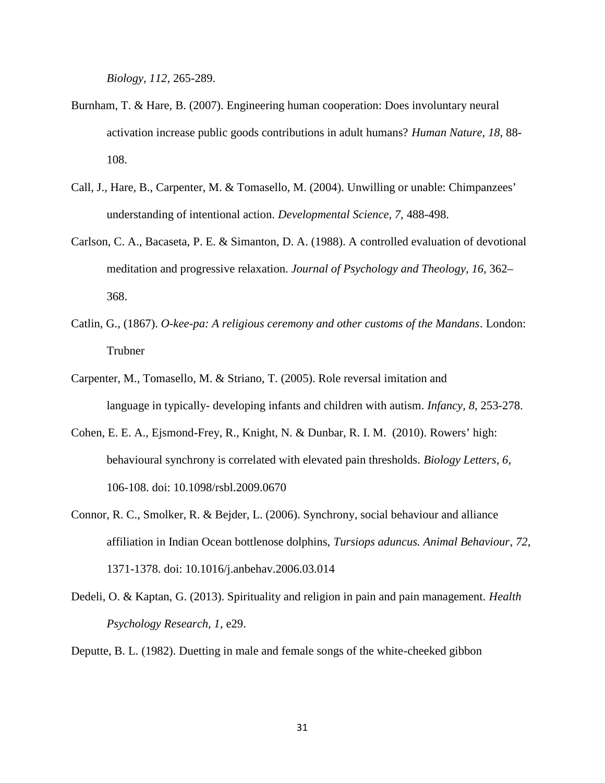*Biology, 112,* 265-289.

- Burnham, T. & Hare, B. (2007). Engineering human cooperation: Does involuntary neural activation increase public goods contributions in adult humans? *Human Nature, 18,* 88- 108.
- Call, J., Hare, B., Carpenter, M. & Tomasello, M. (2004). Unwilling or unable: Chimpanzees' understanding of intentional action. *Developmental Science, 7,* 488-498.
- Carlson, C. A., Bacaseta, P. E. & Simanton, D. A. (1988). A controlled evaluation of devotional meditation and progressive relaxation. *Journal of Psychology and Theology, 16,* 362– 368.
- Catlin, G., (1867). *O-kee-pa: A religious ceremony and other customs of the Mandans*. London: Trubner
- Carpenter, M., Tomasello, M. & Striano, T. (2005). Role reversal imitation and language in typically- developing infants and children with autism. *Infancy, 8,* 253-278.
- Cohen, E. E. A., Ejsmond-Frey, R., Knight, N. & Dunbar, R. I. M. (2010). Rowers' high: behavioural synchrony is correlated with elevated pain thresholds. *Biology Letters*, *6*, 106-108. doi: 10.1098/rsbl.2009.0670
- Connor, R. C., Smolker, R. & Bejder, L. (2006). Synchrony, social behaviour and alliance affiliation in Indian Ocean bottlenose dolphins, *Tursiops aduncus. Animal Behaviour*, *72*, 1371-1378. doi: 10.1016/j.anbehav.2006.03.014
- Dedeli, O. & Kaptan, G. (2013). Spirituality and religion in pain and pain management. *Health Psychology Research, 1*, e29.

Deputte, B. L. (1982). Duetting in male and female songs of the white-cheeked gibbon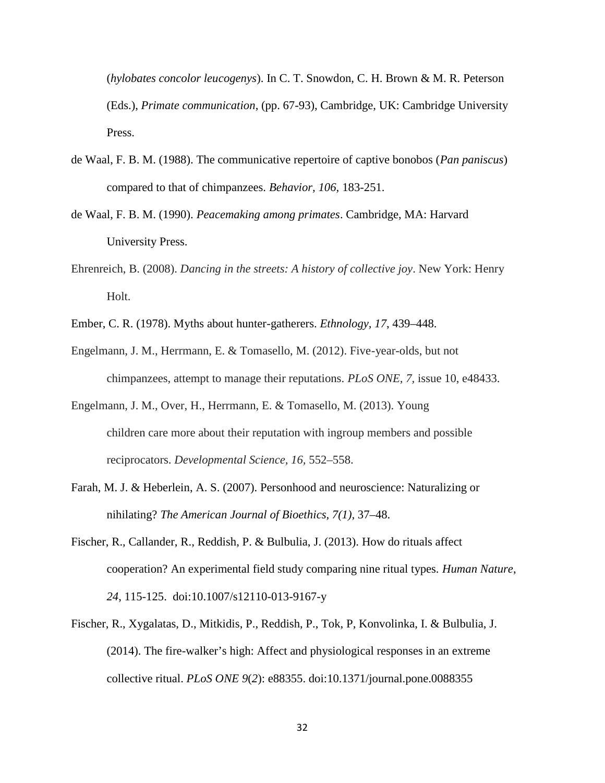(*hylobates concolor leucogenys*). In C. T. Snowdon, C. H. Brown & M. R. Peterson (Eds.), *Primate communication*, (pp. 67-93), Cambridge, UK: Cambridge University Press.

- de Waal, F. B. M. (1988). The communicative repertoire of captive bonobos (*Pan paniscus*) compared to that of chimpanzees. *Behavior, 106,* 183-251.
- de Waal, F. B. M. (1990). *Peacemaking among primates*. Cambridge, MA: Harvard University Press.
- Ehrenreich, B. (2008). *Dancing in the streets: A history of collective joy*. New York: Henry Holt.
- Ember, C. R. (1978). Myths about hunter-gatherers. *Ethnology, 17*, 439–448.
- Engelmann, J. M., Herrmann, E. & Tomasello, M. (2012). Five-year-olds, but not chimpanzees, attempt to manage their reputations. *PLoS ONE, 7,* issue 10, e48433.
- Engelmann, J. M., Over, H., Herrmann, E. & Tomasello, M. (2013). Young children care more about their reputation with ingroup members and possible reciprocators. *Developmental Science, 16,* 552–558.
- Farah, M. J. & Heberlein, A. S. (2007). Personhood and neuroscience: Naturalizing or nihilating? *The American Journal of Bioethics, 7(1),* 37–48.
- Fischer, R., Callander, R., Reddish, P. & Bulbulia, J. (2013). How do rituals affect cooperation? An experimental field study comparing nine ritual types. *Human Nature*, *24*, 115-125. doi:10.1007/s12110-013-9167-y
- Fischer, R., Xygalatas, D., Mitkidis, P., Reddish, P., Tok, P, Konvolinka, I. & Bulbulia, J. (2014). The fire-walker's high: Affect and physiological responses in an extreme collective ritual. *PLoS ONE 9*(*2*): e88355. doi:10.1371/journal.pone.0088355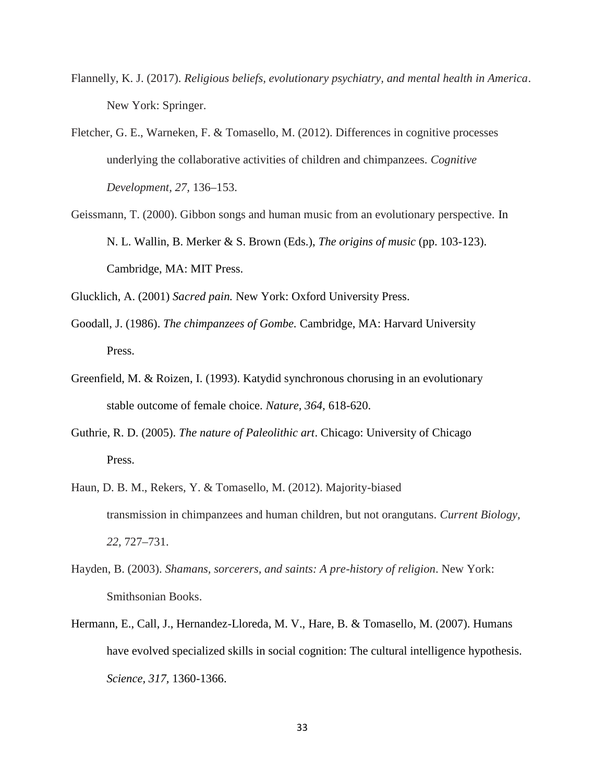- Flannelly, K. J. (2017). *Religious beliefs, evolutionary psychiatry, and mental health in America*. New York: Springer.
- Fletcher, G. E., Warneken, F. & Tomasello, M. (2012). Differences in cognitive processes underlying the collaborative activities of children and chimpanzees. *Cognitive Development, 27,* 136–153.
- Geissmann, T. (2000). Gibbon songs and human music from an evolutionary perspective. In N. L. Wallin, B. Merker & S. Brown (Eds.), *The origins of music* (pp. 103-123). Cambridge, MA: MIT Press.

Glucklich, A. (2001) *Sacred pain.* New York: Oxford University Press.

- Goodall, J. (1986). *The chimpanzees of Gombe.* Cambridge, MA: Harvard University Press.
- Greenfield, M. & Roizen, I. (1993). Katydid synchronous chorusing in an evolutionary stable outcome of female choice. *Nature, 364,* 618-620.
- Guthrie, R. D. (2005). *The nature of Paleolithic art*. Chicago: University of Chicago Press.
- Haun, D. B. M., Rekers, Y. & Tomasello, M. (2012). Majority-biased transmission in chimpanzees and human children, but not orangutans. *Current Biology, 22,* 727–731.
- Hayden, B. (2003). *Shamans, sorcerers, and saints: A pre-history of religion*. New York: Smithsonian Books.
- Hermann, E., Call, J., Hernandez-Lloreda, M. V., Hare, B. & Tomasello, M. (2007). Humans have evolved specialized skills in social cognition: The cultural intelligence hypothesis. *Science, 317,* 1360-1366.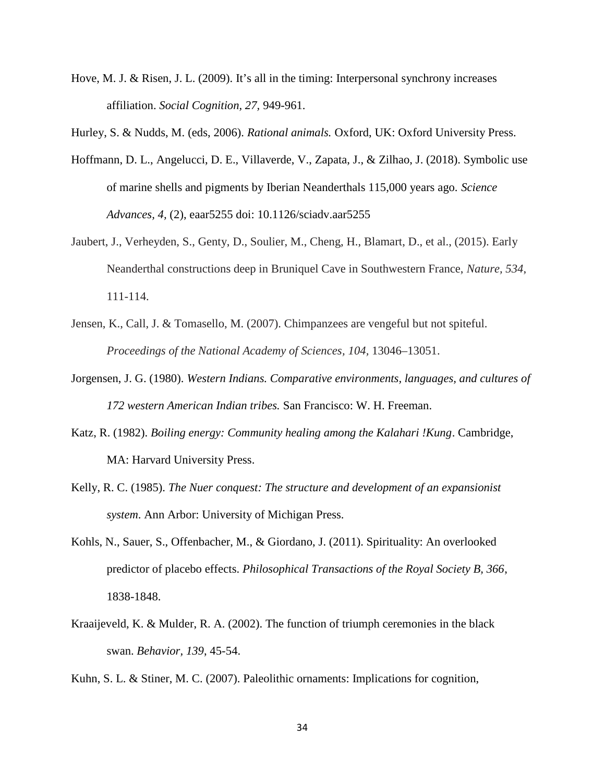- Hove, M. J. & Risen, J. L. (2009). It's all in the timing: Interpersonal synchrony increases affiliation. *Social Cognition, 27,* 949-961.
- Hurley, S. & Nudds, M. (eds, 2006). *Rational animals.* Oxford, UK: Oxford University Press.
- Hoffmann, D. L., Angelucci, D. E., Villaverde, V., Zapata, J., & Zilhao, J. (2018). Symbolic use of marine shells and pigments by Iberian Neanderthals 115,000 years ago. *Science Advances, 4,* (2), eaar5255 doi: 10.1126/sciadv.aar5255
- Jaubert, J., Verheyden, S., Genty, D., Soulier, M., Cheng, H., Blamart, D., et al., (2015). Early Neanderthal constructions deep in Bruniquel Cave in Southwestern France, *Nature, 534*, 111-114.
- Jensen, K., Call, J. & Tomasello, M. (2007). Chimpanzees are vengeful but not spiteful. *Proceedings of the National Academy of Sciences, 104,* 13046–13051.
- Jorgensen, J. G. (1980). *Western Indians. Comparative environments, languages, and cultures of 172 western American Indian tribes.* San Francisco: W. H. Freeman.
- Katz, R. (1982). *Boiling energy: Community healing among the Kalahari !Kung*. Cambridge, MA: Harvard University Press.
- Kelly, R. C. (1985). *The Nuer conquest: The structure and development of an expansionist system*. Ann Arbor: University of Michigan Press.
- Kohls, N., Sauer, S., Offenbacher, M., & Giordano, J. (2011). Spirituality: An overlooked predictor of placebo effects. *Philosophical Transactions of the Royal Society B, 366*, 1838-1848.
- Kraaijeveld, K. & Mulder, R. A. (2002). The function of triumph ceremonies in the black swan. *Behavior, 139*, 45-54.
- Kuhn, S. L. & Stiner, M. C. (2007). Paleolithic ornaments: Implications for cognition,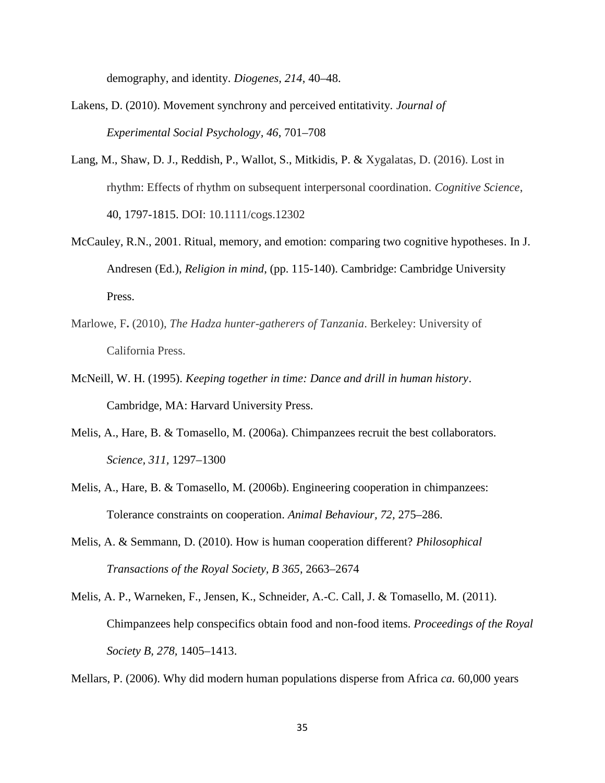demography, and identity. *Diogenes, 214*, 40–48.

- Lakens, D. (2010). Movement synchrony and perceived entitativity. *Journal of Experimental Social Psychology, 46*, 701–708
- Lang, M., Shaw, D. J., Reddish, P., Wallot, S., Mitkidis, P. & Xygalatas, D. (2016). Lost in rhythm: Effects of rhythm on subsequent interpersonal coordination. *Cognitive Science*, 40, 1797-1815. DOI: 10.1111/cogs.12302
- McCauley, R.N., 2001. Ritual, memory, and emotion: comparing two cognitive hypotheses. In J. Andresen (Ed.), *Religion in mind*, (pp. 115-140). Cambridge: Cambridge University Press.
- Marlowe, F**.** (2010), *The Hadza hunter-gatherers of Tanzania*. Berkeley: University of California Press.
- McNeill, W. H. (1995). *Keeping together in time: Dance and drill in human history*. Cambridge, MA: Harvard University Press.
- Melis, A., Hare, B. & Tomasello, M. (2006a). Chimpanzees recruit the best collaborators. *Science, 311,* 1297–1300
- Melis, A., Hare, B. & Tomasello, M. (2006b). Engineering cooperation in chimpanzees: Tolerance constraints on cooperation. *Animal Behaviour, 72,* 275–286.
- Melis, A. & Semmann, D. (2010). How is human cooperation different? *Philosophical Transactions of the Royal Society, B 365*, 2663–2674
- Melis, A. P., Warneken, F., Jensen, K., Schneider, A.-C. Call, J. & Tomasello, M. (2011). Chimpanzees help conspecifics obtain food and non-food items. *Proceedings of the Royal Society B, 278,* 1405–1413.

Mellars, P. (2006). Why did modern human populations disperse from Africa *ca.* 60,000 years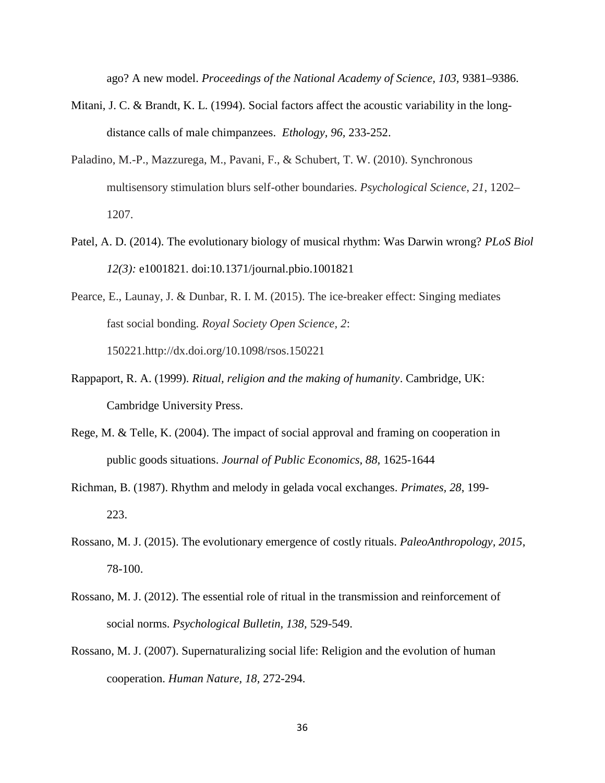ago? A new model. *Proceedings of the National Academy of Science, 103,* 9381–9386.

- Mitani, J. C. & Brandt, K. L. (1994). Social factors affect the acoustic variability in the long distance calls of male chimpanzees. *Ethology, 96,* 233-252.
- Paladino, M.-P., Mazzurega, M., Pavani, F., & Schubert, T. W. (2010). Synchronous multisensory stimulation blurs self-other boundaries. *Psychological Science, 21*, 1202– 1207.
- Patel, A. D. (2014). The evolutionary biology of musical rhythm: Was Darwin wrong? *PLoS Biol 12(3):* e1001821. doi:10.1371/journal.pbio.1001821
- Pearce, E., Launay, J. & Dunbar, R. I. M. (2015). The ice-breaker effect: Singing mediates fast social bonding. *Royal Society Open Science, 2*: 150221.http://dx.doi.org/10.1098/rsos.150221
- Rappaport, R. A. (1999). *Ritual, religion and the making of humanity*. Cambridge, UK: Cambridge University Press.
- Rege, M. & Telle, K. (2004). The impact of social approval and framing on cooperation in public goods situations. *Journal of Public Economics, 88,* 1625-1644
- Richman, B. (1987). Rhythm and melody in gelada vocal exchanges. *Primates, 28*, 199- 223.
- Rossano, M. J. (2015). The evolutionary emergence of costly rituals. *PaleoAnthropology, 2015*, 78-100.
- Rossano, M. J. (2012). The essential role of ritual in the transmission and reinforcement of social norms. *Psychological Bulletin, 138,* 529-549.
- Rossano, M. J. (2007). Supernaturalizing social life: Religion and the evolution of human cooperation. *Human Nature, 18,* 272-294.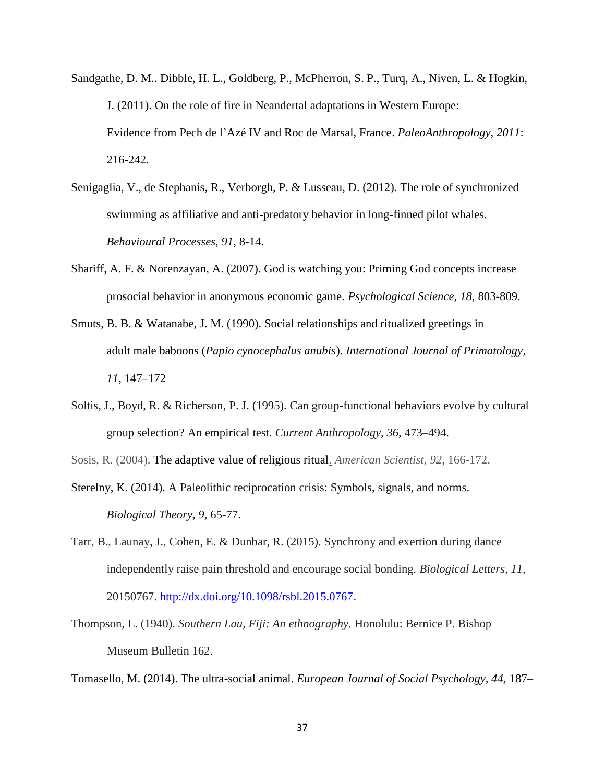- Sandgathe, D. M.. Dibble, H. L., Goldberg, P., McPherron, S. P., Turq, A., Niven, L. & Hogkin, J. (2011). On the role of fire in Neandertal adaptations in Western Europe: Evidence from Pech de l'Azé IV and Roc de Marsal, France. *PaleoAnthropology, 2011*: 216-242.
- Senigaglia, V., de Stephanis, R., Verborgh, P. & Lusseau, D. (2012). The role of synchronized swimming as affiliative and anti-predatory behavior in long-finned pilot whales. *Behavioural Processes*, *91*, 8-14.
- Shariff, A. F. & Norenzayan, A. (2007). God is watching you: Priming God concepts increase prosocial behavior in anonymous economic game. *Psychological Science, 18,* 803-809.
- Smuts, B. B. & Watanabe, J. M. (1990). Social relationships and ritualized greetings in adult male baboons (*Papio cynocephalus anubis*). *International Journal of Primatology, 11*, 147–172
- Soltis, J., Boyd, R. & Richerson, P. J. (1995). Can group-functional behaviors evolve by cultural group selection? An empirical test. *Current Anthropology, 36,* 473–494.
- Sosis, R. (2004). The adaptive value of religious ritual. *American Scientist, 92*, 166-172.
- Sterelny, K. (2014). A Paleolithic reciprocation crisis: Symbols, signals, and norms. *Biological Theory, 9,* 65-77.
- Tarr, B., Launay, J., Cohen, E. & Dunbar, R. (2015). Synchrony and exertion during dance independently raise pain threshold and encourage social bonding. *Biological Letters, 11,* 20150767. http://dx.doi.org/10.1098/rsbl.2015.0767.
- Thompson, L. (1940). *Southern Lau, Fiji: An ethnography.* Honolulu: Bernice P. Bishop Museum Bulletin 162.

Tomasello, M. (2014). The ultra-social animal. *European Journal of Social Psychology, 44,* 187–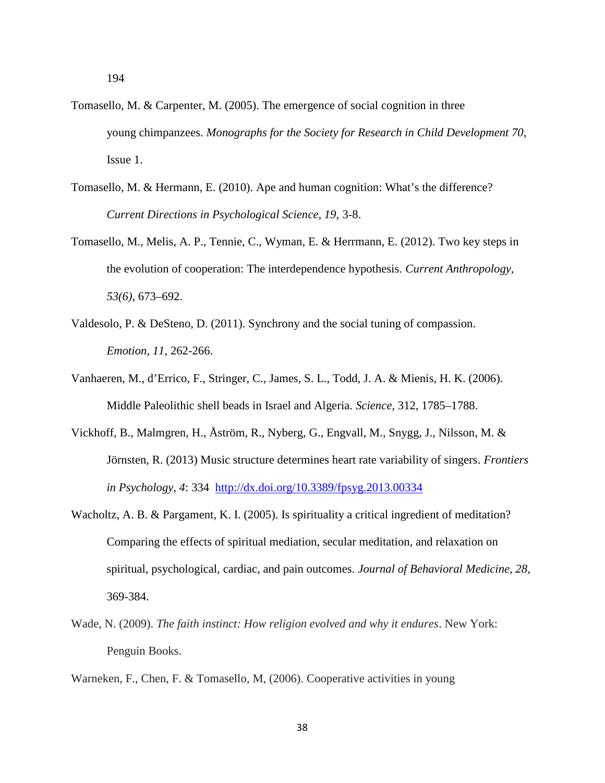- Tomasello, M. & Carpenter, M. (2005). The emergence of social cognition in three young chimpanzees. *Monographs for the Society for Research in Child Development 70,* Issue 1.
- Tomasello, M. & Hermann, E. (2010). Ape and human cognition: What's the difference? *Current Directions in Psychological Science, 19,* 3-8.
- Tomasello, M., Melis, A. P., Tennie, C., Wyman, E. & Herrmann, E. (2012). Two key steps in the evolution of cooperation: The interdependence hypothesis. *Current Anthropology, 53(6)*, 673–692.
- Valdesolo, P. & DeSteno, D. (2011). Synchrony and the social tuning of compassion. *Emotion, 11,* 262-266.
- Vanhaeren, M., d'Errico, F., Stringer, C., James, S. L., Todd, J. A. & Mienis, H. K. (2006). Middle Paleolithic shell beads in Israel and Algeria. *Science,* 312, 1785–1788.
- Vickhoff, B., Malmgren, H., Åström, R., Nyberg, G., Engvall, M., Snygg, J., Nilsson, M. & Jörnsten, R. (2013) Music structure determines heart rate variability of singers. *Frontiers in Psychology, 4*: 334 http://dx.doi.org/10.3389/fpsyg.2013.00334
- Wacholtz, A. B. & Pargament, K. I. (2005). Is spirituality a critical ingredient of meditation? Comparing the effects of spiritual mediation, secular meditation, and relaxation on spiritual, psychological, cardiac, and pain outcomes. *Journal of Behavioral Medicine, 28*, 369-384.
- Wade, N. (2009). *The faith instinct: How religion evolved and why it endures*. New York: Penguin Books.
- Warneken, F., Chen, F. & Tomasello, M, (2006). Cooperative activities in young